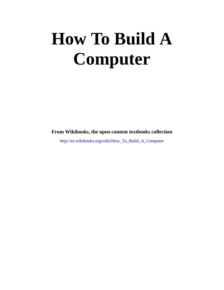# **How To Build A Computer**

**From Wikibooks, the open-content textbooks collection**

http://en.wikibooks.org/wiki/How\_To\_Build\_A\_Computer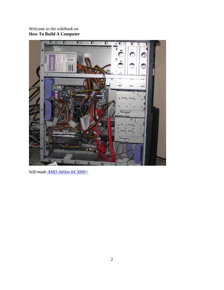### *Welcome to the wikibook on* **How To Build A Computer**



*Self-made AMD Athlon 64 3000+*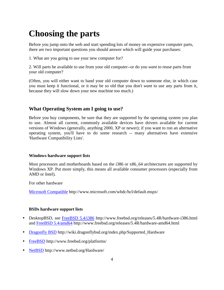# **Choosing the parts**

Before you jump onto the web and start spending lots of money on expensive computer parts, there are two important questions you should answer which will guide your purchases:

1. What are you going to use your new computer for?

2. Will parts be available to use from your old computer--or do you *want* to reuse parts from your old computer?

(Often, you will either want to hand your old computer down to someone else, in which case you must keep it functional, or it may be *so* old that you don't *want* to use any parts from it, because they will slow down your new machine too much.)

### **What Operating System am I going to use?**

Before you buy components, be sure that they are supported by the operating system you plan to use. Almost all current, commonly available devices have drivers available for current versions of Windows (generally, anything 2000, XP or newer); if you want to run an alternative operating system, you'll have to do some research -- many alternatives have extensive 'Hardware Compatibility Lists'.

### **Windows hardware support lists**

Most processors and motherboards based on the i386 or x86  $64$  architectures are supported by Windows XP. Put more simply, this means all available consumer processors (especially from AMD or Intel).

For other hardware

Microsoft Compatible http://www.microsoft.com/whdc/hcl/default.mspx/

### **BSDs hardware support lists**

- DesktopBSD, see FreeBSD 5.4/i386 http://www.freebsd.org/releases/5.4R/hardware-i386.html and FreeBSD 5.4/amd64 http://www.freebsd.org/releases/5.4R/hardware-amd64.html
- Dragonfly BSD http://wiki.dragonflybsd.org/index.php/Supported\_Hardware
- FreeBSD http://www.freebsd.org/platforms/
- NetBSD http://www.netbsd.org/Hardware/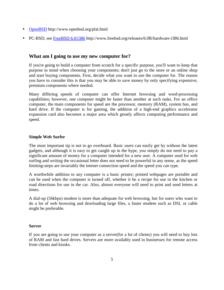- OpenBSD http://www.openbsd.org/plat.html
- PC-BSD, see FreeBSD 6.0/i386 http://www.freebsd.org/releases/6.0R/hardware-i386.html

### **What am I going to use my new computer for?**

If you're going to build a computer from scratch for a specific purpose, you'll want to keep that purpose in mind when choosing your components; don't just go to the store or an online shop and start buying components. First, decide what you want to use the computer for. The reason you have to consider this is that you may be able to save money by only specifying expensive, premium components where needed.

Many differing speeds of computer can offer Internet browsing and word-processing capabilities; however, one computer might be faster than another at such tasks. For an office computer, the main components for speed are the processor, memory (RAM), system bus, and hard drive. If the computer is for gaming, the addition of a high-end graphics accelerator expansion card also becomes a major area which greatly affects computing performance and speed.

### **Simple Web Surfer**

The most important tip is not to go overboard. Basic users can easily get by without the latest gadgets, and although it is easy to get caught up in the hype, you simply do not need to pay a significant amount of money for a computer intended for a new user. A computer used for web surfing and writing the occasional letter does not need to be powerful in any sense, as the speed limiting-steps are invariably the intenet connection speed and the speed you can type.

A worthwhile addition to any computer is a basic printer; printed webpages are portable and can be used when the computer is turned off, whether it be a recipe for use in the kitchen or road directions for use in the car. Also, almost everyone will need to print and send letters at times.

A dial-up (56kbps) modem is more than adequate for web browsing, but for users who want to do a lot of web browsing and dowloading large files, a faster modem such as DSL or cable might be preferable.

### **Server**

If you are going to use your computer as a server(for a lot of clients) you will need to buy lots of RAM and fast hard drives. Servers are more availably used in businesses for remote access from clients and kiosks.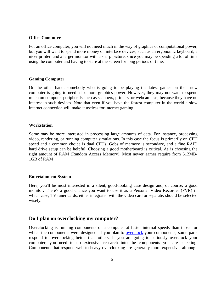#### **Office Computer**

For an office computer, you will not need much in the way of graphics or computational power, but you will want to spend more money on interface devices, such as an ergonomic keyboard, a nicer printer, and a larger monitor with a sharp picture, since you may be spending a lot of time using the computer and having to stare at the screen for long periods of time.

#### **Gaming Computer**

On the other hand, somebody who is going to be playing the latest games on their new computer is going to need a lot more graphics power. However, they may not want to spend much on computer peripherals such as scanners, printers, or webcameras, because they have no interest in such devices. Note that even if you have the fastest computer in the world a slow internet connection will make it useless for internet gaming.

### **Workstation**

Some may be more interested in processing large amounts of data. For instance, processing video, rendering, or running computer simulations. In this case the focus is primarily on CPU speed and a common choice is dual CPUs. Gobs of memory is secondary, and a fine RAID hard drive setup can be helpful. Choosing a good motherboard is critical. As is choosing the right amount of RAM (Random Access Memory). Most newer games require from 512MB-1GB of RAM

### **Entertainment System**

Here, you'll be most interested in a silent, good-looking case design and, of course, a good monitor. There's a good chance you want to use it as a Personal Video Recorder (PVR) in which case, TV tuner cards, either integrated with the video card or separate, should be selected wisely.

### **Do I plan on overclocking my computer?**

Overclocking is running components of a computer at faster internal speeds than those for which the components were designed. If you plan to overclock your components, some parts respond to overclocking better than others. If you are going to seriously overclock your computer, you need to do extensive research into the components you are selecting. Components that respond well to heavy overclocking are generally more expensive, although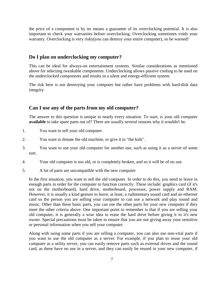the price of a component is by no means a guarantee of its overclocking potential. It is also important to check your warranties before overclocking. Overclocking sometimes voids your warranty. Overclocking is very risky(you can destroy your entire computer), so be warned!

### **Do I plan on underclocking my computer?**

This can be ideal for always-on entertainment systems. Similar considerations as mentioned above for selecting tweakable components. Underclocking allows passive cooling to be used on the underclocked components and results in a silent and energy-efficient system.

The risk here is not destroying your computer but rather have problems with hard-disk data integrity

### **Can I use any of the parts from my old computer?**

The answer to this question is unique in nearly every situation. To start, is your old computer **available** to take spare parts out of? There are usually several reasons why it wouldn't be.

- 1. You want to sell your old computer.
- 2. You want to donate the old machine, or give it to "the kids".
- 3. You want to use your old computer for another use, such as using it as a server of some sort.
- 4. Your old computer is too old, or is completely broken, and so it will be of no use.
- 5. A lot of parts are uncompatible with the new computer

In the first situation, you want to sell the old computer. In order to do this, you need to leave in enough parts in order for the computer to function correctly. These include: graphics card (if it's not on the motherboard), hard drive, motherboard, processor, power supply and RAM. However, it is usually a kind gesture to leave, at least, a rudimentary sound card and an ethernet card so the person you are selling your computer to can use a network and play sound and music. Other than these basic parts, you can use the other parts for your new computer if they meet the other criteria above. One important point to remember is that if you are selling your old computer, it is generally a wise idea to erase the hard drive before giving it to it's new owner. Special precautions must be taken to ensure that you are not giving away your sensitive or personal information when you sell your computer.

Along with using some parts if you are selling a computer, you can also use non-vital parts if you want to use the old computer as a server. For example, if you plan to reuse your old computer as a utility server, you can easily remove parts such as external drives and the sound card, as these have no use in a server, and they can easily be reused in your new computer, if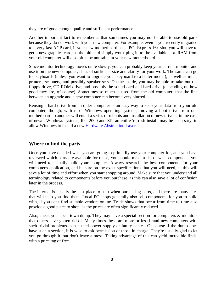they are of good enough quality and sufficient performance.

Another important fact to remember is that sometimes you may not be able to use old parts because they do not work with your new computer. For example, even if you recently upgraded to a very fast AGP card, if your new motherboard has a PCI-Express 16x slot, you will have to get a new graphics card, as the old card simply won't plug in to the available slot. RAM from your old computer will also often be unusable in your new motherboard.

Since monitor technology moves quite slowly, you can probably keep your current monitor and use it on the new computer, if it's of sufficient size and clarity for your work. The same can go for keyboards (unless you want to upgrade your keyboard to a better model), as well as mice, printers, scanners, and possibly speaker sets. On the inside, you may be able to take out the floppy drive, CD-ROM drive, and possibly the sound card and hard drive (depending on how good they are, of course). Sometimes so much is used from the old computer, that the line between an upgrade and a new computer can become very blurred.

Reusing a hard drive from an older computer is an easy way to keep your data from your old computer, though, with most Windows operating systems, moving a boot drive from one motherboard to another will entail a series of reboots and installation of new drivers; in the case of newer Windows systems, like 2000 and XP, an entire 'refresh install' may be necessary, to allow Windows to install a new Hardware Abstraction Layer

### **Where to find the parts**

Once you have decided what you are going to primarily use your computer for, and you have reviewed which parts are available for reuse, you should make a list of what components you will need to actually build your computer. Always research the best components for your computer's application, and be sure on the exact specifications that you will need, as this will save a lot of time and effort when you start shopping around. Make sure that you understand all terminology related to components before you purchase, as this can also save a lot of confusion later in the process.

The internet is usually the best place to start when purchasing parts, and there are many sites that will help you find them. Local PC shops generally also sell components for you to build with, if you can't find suitable vendors online. Trade shows that occur from time to time also provide a good place to shop, as the prices are often significantly reduced.

Also, check your local town dump. They may have a special section for computers & monitors that others have gotten rid of. Many times these are more or less brand new computers with such trivial problems as a busted power supply or faulty cables. Of course if the dump does have such a section, it is wise to ask permission of those in charge. They're usually glad to let you go through it, but don't leave a mess. Taking advantage of this can yield incredible finds, with a price tag of free.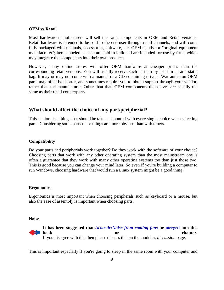### **OEM vs Retail**

Most hardware manufacturers will sell the same components in OEM and Retail versions. Retail hardware is intended to be sold to the end-user through retail channels, and will come fully packaged with manuals, accessories, software, etc. OEM stands for "original equipment manufacturer"; items labeled as such are sold in bulk and are intended for use by firms which may integrate the components into their own products.

However, many online stores will offer OEM hardware at cheaper prices than the corresponding retail versions. You will usually receive such an item by itself in an anti-static bag. It may or may not come with a manual or a CD containing drivers. Warranties on OEM parts may often be shorter, and sometimes require you to obtain support through your vendor, rather than the manufacturer. Other than that, OEM components themselves are usually the same as their retail counterparts.

### **What should affect the choice of any part/peripherial?**

This section lists things that should be taken account of with every single choice when selecting parts. Considering some parts these things are more obvious than with others.

### **Compatibility**

Do your parts and peripherials work together? Do they work with the software of your choice? Choosing parts that work with any other operating system than the most mainstream one is often a guarantee that they work with many other operating systems too than just those two. This is good because you can change your mind later. So even if you're building a computer to run Windows, choosing hardware that would run a Linux system might be a good thing.

### **Ergonomics**

Ergonomics is most important when choosing peripherals such as keyboard or a mouse, but also the ease of assembly is important when choosing parts.

#### **Noise**



**It has been suggested that** *Acoustic:Noise from cooling fans* **be merged into this book** or chapter. If you disagree with this then please discuss this on the module's *discussion* page.

This is important especially if you're going to sleep in the same room with your computer and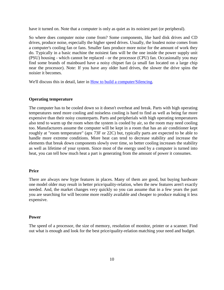have it turned on. Note that a computer is only as quiet as its noisiest part (or peripheral).

So where does computer noise come from? Some components, like hard disk drives and CD drives, produce noise, especially the higher speed drives. Usually, the loudest noise comes from a computer's cooling fan or fans. Smaller fans produce more noise for the amount of work they do. Typically in a basic machine the noisiest fans will be the one inside the power supply unit (PSU) housing - which cannot be replaced - or the processor (CPU) fan. Occasionally you may find some brands of mainboard have a noisy chipset fan (a small fan located on a large chip near the processor). Note: If you have any older hard drives, the slower the drive spins the noisier it becomes.

We'll discuss this in detail, later in How to build a computer/Silencing.

### **Operating temperature**

The computer has to be cooled down so it doesn't overheat and break. Parts with high operating temperatures need more cooling and noiseless cooling is hard to find as well as being far more expensive than their noisy counterparts. Parts and peripherials with high operating temperatures also tend to warm up the room when the system is cooled by air, so the room may need cooling too. Manufacturers assume the computer will be kept in a room that has an air conditioner kept roughly at "room temperature" (apx 73F or 22C) but, typically parts are expected to be able to handle more extreme conditions. More heat can tend to decrease stability and increase the elements that break down components slowly over time, so better cooling increases the stability as well as lifetime of your system. Since most of the energy used by a computer is turned into heat, you can tell how much heat a part is generating from the amount of power it consumes.

### **Price**

There are always new hype features in places. Many of them are good, but buying hardware one model older may result in better price/quality-relation, when the new features aren't exactly needed. And, the market changes very quickly so you can assume that in a few years the part you are searching for will become more readily available and cheaper to produce making it less expensive.

### **Power**

The speed of a processor, the size of memory, resolution of monitor, printer or a scanner. Find out what is enough and look for the best price/quality-relation matching your need and budget.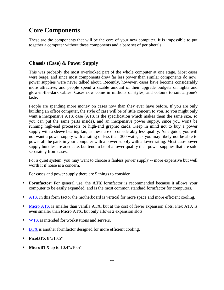### **Core Components**

These are the components that will be the core of your new computer. It is impossible to put together a computer without these components and a bare set of peripherals.

### **Chassis (Case) & Power Supply**

This was probably the most overlooked part of the whole computer at one stage. Most cases were beige, and since most components drew far less power than similar components do now, power supplies were never talked about. Recently, however, cases have become considerably more attractive, and people spend a sizable amount of their upgrade budgets on lights and glow-in-the-dark cables. Cases now come in millions of styles, and colours to suit anyone's taste.

People are spending more money on cases now than they ever have before. If you are only building an office computer, the style of case will be of little concern to you, so you might only want a inexpensive ATX case (ATX is the specification which makes them the same size, so you can put the same parts inside), and an inexpensive power supply, since you won't be running high-end processors or high-end graphic cards. Keep in mind not to buy a power supply with a sleeve bearing fan, as these are of considerably less quality. As a guide, you will not want a power supply with a rating of less than 300 watts, as you may likely not be able to power all the parts in your computer with a power supply with a lower rating. Most case-power supply bundles are adequate, but tend to be of a lower quality than power supplies that are sold separately from cases.

For a quiet system, you may want to choose a fanless power supply -- more expensive but well worth it if noise is a concern.

For cases and power supply there are 5 things to consider.

- **Formfactor**: For general use, the **ATX** formfactor is recommended because it allows your computer to be easily expanded, and is the most common standard formfactor for computers.
- ATX In this form factor the motherboard is vertical for more space and more efficient cooling.
- Micro ATX is smaller than vanilla ATX, but at the cost of fewer expansion slots. Flex ATX is even smaller than Micro ATX, but only allows 2 expansion slots.
- WTX is intended for workstations and servers.
- BTX is another formfactor designed for more efficient cooling.
- **PicoBTX** 8"x10.5"
- **MicroBTX** up to 10.4"x10.5"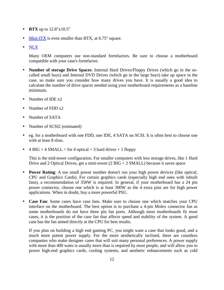- **BTX** up to 12.8"x10.5"
- Mini-ITX is even smaller than BTX, at 6.75" square.
- NLX

Many OEM computers use non-standard formfactors. Be sure to choose a motherboard compatible with your case's formfactor.

- **Number of storage Drive Spaces**: Internal Hard Drives/Floppy Drives (which go in the socalled small bays) and Internal DVD Drives (which go in the large bays) take up space in the case, so make sure you consider how many drives you have. It is usually a good idea to calculate the number of drive spaces needed using your motherboard requirements as a baseline minimum.
- Number of IDE x2
- Number of FDD x2
- Number of SATA
- Number of SCSI2 (estimated)
- eg. for a motherboard with one FDD, one IDE, 4 SATA no SCSI. It is often best to choose one with at least 8 slots.
- 4 BIG + 4 SMALL = for 4 optical + 3 hard drives + 1 floppy

This is the mid-tower configuration. For smaller computers with less storage drives, like 1 Hard Drive and 2 Optical Drives, get a mini-tower (2 BIG + 2 SMALL) because it saves space

- **Power Rating**: A too small power number doesn't run your high power devices (like optical, CPU and Graphics Cards). For certain graphics cards (especially high end ones with inbuilt fans), a recommendation of 350W is required. In general, if your motherboard has a 24 pin power connector, choose one which is at least 300W as the 4 extra pins are for high power applications. When in doubt, buy a more powerful PSU.
- **Case Fan**: Some cases have case fans. Make sure to choose one which matches your CPU interface on the motherboard. The best option is to purchase a 4-pin Molex connector fan as some motherboards do not have three pin fan ports. Although most motherboards fit most cases, it is the position of the case fan that affects speed and stability of the system. A good case has the fan aimed directly at the CPU for best results.

If you plan on building a high end gaming PC, you might want a case that looks good, and a much more potent power supply. For the more aesthetically inclined, there are countless companies who make designer cases that will suit many personal preferences. A power supply with more than 400 watts is usually more than is required by most people, and will allow you to power high-end graphics cards, cooling systems, and aesthetic enhancements such as cold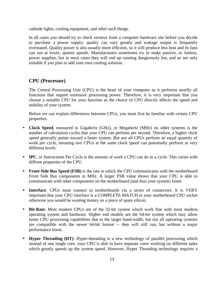cathode lights, cooling equipment, and other such things.

In all cases you should try to check reviews from a computer hardware site before you decide to purchase a power supply; quality can vary greatly and wattage output is frequently overstated. Quality power is also usually more efficient, so it will produce less heat and its fans can run at lower, quieter speeds. Manufacturers sometimes try to make passive, or fanless, power supplies, but in most cases they will end up running dangerously hot, and so are only suitable if you plan to add your own cooling solution.

### **CPU (Processor)**

The Central Processing Unit (CPU) is the heart of your computer as it performs nearlly all functions that require extensive processing power. Therefore, it is very important that you choose a suitable CPU for your function as the choice of CPU directly affects the speed and stability of your system.

Before we can explain differences between CPUs, you must first be familiar with certain CPU properties.

- **Clock Speed**, measured in Gigahertz (GHz), or Megahertz (MHz) on older systems is the number of calculation cycles that your CPU can perform per second. Therefore, a higher clock speed generally points toward a faster system. But not all CPUs perform an equal quantity of work per cycle, meaning two CPUs at the same clock speed can potentially perform at very different levels.
- **IPC**, or Instructions Per Cycle is the amount of work a CPU can do in a cycle. This varies with diffrent properties of the CPU.
- **Front Side Bus Speed (FSB)** is the rate at which the CPU communicates with the motherboard Front Side Bus components in MHz. A larger FSB value shows that your CPU is able to communicate with other components on the motherboard (and thus your system) faster.
- **Interface**: CPUs must connect to motherboards via a series of connectors. It is VERY important that your CPU interface is a COMPLETE MATCH to your motherboard CPU socket otherwise you would be wasting money on a piece of spare silicon.
- **Bit-Rate**: Most modern CPUs are of the 32-bit system which work fine with most modern operating system and hardware. Higher end models are the 64-bit system which may allow faster CPU processing capabilities due to the larger band-width, but not all operating systems are compatible with the newer 64-bit format -- they will still run, but without a major performance boost.
- **Hyper Threading (HT)**: Hyper-threading is a new technology of parallel processing which instead of one single core, your CPU is able to have separate cores working on different tasks which greatly speeds up the system speed. However, Hyper Threading technology requires a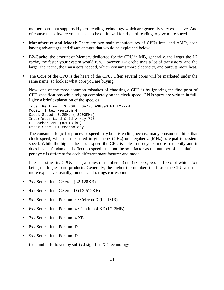motherboard that supports Hyperthreading technology which are generally very expensive. And of course the software you use has to be optimized for Hyperthreading to give more speed.

- **Manufacture and Model**: There are two main manufactures of CPUs Intel and AMD, each having advantages and disadvantages that would be explained below.
- **L2-Cache**: the amount of Memory dedicated for the CPU in MB, generally, the larger the L2 cache, the faster your system would run. However, L2 cache uses a lot of transistors, and the larger the cache, the transistors needed, which consums more electricity, and outputs more heat.
- The **Core** of the CPU is the heart of the CPU. Often several cores will be marketed under the same name, so look at what core you are buying.

Now, one of the most common mistakes of choosing a CPU is by ignoring the fine print of CPU specifications while relying completely on the clock speed. CPUs specs are written in full, I give a brief explanation of the spec, eg.

```
Intel Pentium 4 3.2GHz LGA775 FSB800 HT L2-2MB
Model: Intel Pentium 4
Clock Speed: 3.2GHz (=3200MHz)
Interface: Land Grid Array 775
L2-Cache: 2MB (=2048 kB)
Other Spec: HT technology
```
The consumer logic for processor speed may be misleading because many consumers think that clock speed, which is measured in gigahertz (GHz) or megahertz (MHz) is equal to system speed. While the higher the clock speed the CPU is able to do cycles more frequently and it does have a fundamental effect on speed, it is not the sole factor as the number of calculations per cycle is different for each different manufacturer and model.

Intel classifies its CPUs using a series of numbers. 3xx, 4xx, 5xx, 6xx and 7xx of which 7xx being the highest end products. Generally, the higher the number, the faster the CPU and the more expensive. usually, models and ratings correspond.

- 3xx Series: Intel Celeron (L2-128KB)
- 4xx Series: Intel Celeron D (L2-512KB)
- 5xx Series: Intel Pentium 4 / Celeron D (L2-1MB)
- 6xx Series: Intel Pentium 4 / Pentium 4 XE (L2-2MB)
- 7xx Series: Intel Pentium 4 XE
- 8xx Series: Intel Pentium D
- 9xx Series: Intel Pentium D

the number followed by suffix J signifies XD technology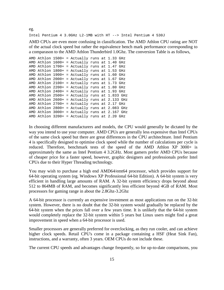eg. Intel Pentium 4 3.0GHz L2-1MB with HT --> Intel Pentium 4 530J

AMD CPUs are even more confusing in classification. The AMD Athlon CPU rating are NOT of the actual clock speed but rather the equivalence bench mark performance corresponding to a comparason to the AMD Athlon Thunderbird 1.0Ghz. The conversion Table is as follows,

```
AMD Athlon 1500+ = Actually runs at 1.33 GHz
AMD Athlon 1600+ = Actually runs at 1.40 GHz
AMD Athlon 1700+ = Actually runs at 1.47 GHz
AMD Athlon 1800+ = Actually runs at 1.53 GHz
AMD Athlon 1900+ = Actually runs at 1.60 GHz
AMD Athlon 2000+ = Actually runs at 1.67 GHz
AMD Athlon 2100+ = Actually runs at 1.73 GHz
AMD Athlon 2200+ = Actually runs at 1.80 GHz
AMD Athlon 2400+ = Actually runs at 1.93 GHz
AMD Athlon 2500+ = Actually runs at 1.833 GHz
AMD Athlon 2600+ = Actually runs at 2.133 GHz
AMD Athlon 2700+ = Actually runs at 2.17 GHz
AMD Athlon 2800+ = Actually runs at 2.083 GHz
AMD Athlon 3000+ = Actually runs at 2.167 GHz
AMD Athlon 3200+ = Actually runs at 2.20 GHz
```
In choosing different manufacturers and models, the CPU would generally be dictated by the way you intend to use your computer. AMD CPUs are generally less expensive than Intel CPUs of the same clock speed but there are great differences in the CPU architechture. Intel Pentium 4 is specifically designed to optimise clock speed while the number of calculations per cycle is reduced. Therefore, benchmark tests of the speed of the AMD Athlon XP 3000+ is approximately the same as Intel Pentium 4 3.2GHz. Most gamers prefer AMD CPUs because of cheaper price for a faster speed, however, graphic designers and professionals prefer Intel CPUs due to their Hyper Threading technology.

You may wish to purchase a high end AMD64/emt64 processor, which provides support for 64-bit operating system (eg. Windows XP Professional 64-bit Edition). A 64-bit system is very efficient in handling large amounts of RAM. A 32-bit system efficiency drops beyond about 512 to 864MB of RAM, and becomes significantly less efficient beyond 4GB of RAM. Most processors for gaming range in about the 2.8Ghz-3.2Ghz

A 64-bit processor is currently an expensive investment as most applications run on the 32-bit system. However, there is no doubt that the 32-bit system would gradually be replaced by the 64-bit system when the prices fall over a few years time. It is unlikely that the 64-bit system would completely replace the 32-bit system within 5 years but Linux users might find a great improvement in speed when a 64-bit processor is used.

Smaller processors are generally preferred for overclocking, as they run cooler, and can achieve higher clock speeds. Retail CPU's come in a package containing a HSF (Heat Sink Fan), instructions, and a warranty, often 3 years. OEM CPUs do not include these.

The current CPU speeds and advantages change frequently, so for up-to-date comparisons, you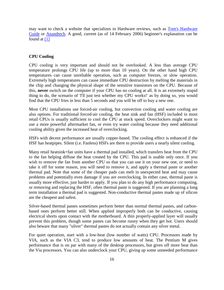may want to check a website that specializes in Hardware reviews, such as Tom's Hardware Guide or Anandtech. A good, current (as of 14 February 2006) beginner's explanation can be found at  $[1]$ 

### **CPU Cooling**

CPU cooling is very important and should not be overlooked. A less than average CPU temperature prolongs CPU life (up to more than 10 years). On the other hand high CPU temperatures can cause unreliable operation, such as computer freezes, or slow operation. Extremely high temperatures can cause immediate CPU destruction by melting the materials in the chip and changing the physical shape of the sensitive transistors on the CPU. Because of this, **never** switch on the computer if your CPU has no cooling at all. It is an extremely stupid thing to do, the scenario of 'I'll just test whether my CPU works!' as by doing so, you would find that the CPU fries in less than 5 seconds and you will be off to buy a new one.

Most CPU installations use forced-air cooling, but convection cooling and water cooling are also options. For traditional forced-air cooling, the heat sink and fan (HSF) included in most retail CPUs is usually sufficient to cool the CPU at stock speed. Overclockers might want to use a more powerful aftermarket fan, or even try water cooling because they need additional cooling ability given the increased heat of overclocking.

HSFs with decent performance are usually copper-based. The cooling effect is enhanced if the HSF has heatpipes. Silent (i.e. Fanless) HSFs are there to provide users a nearly silent cooling.

Many retail heatsink+fan units have a thermal pad installed, which transfers heat from the CPU to the fan helping diffuse the heat created by the CPU. This pad is usable only once. If you wish to remove the fan from another CPU so that you can use it on your new one, or need to take it off for some reason, you will need to remove it, and apply a thermal paste or another thermal pad. Note that some of the cheaper pads can melt in unexpected heat and may cause problems and potentially even damage if you are overclocking. In either case, thermal paste is usually more effective, just harder to apply. If you plan to do any high performance computing, or removing and replacing the HSF, often thermal paste is suggested. If you are planning a long term installation a thermal pad is suggested. Non-conductive thermal pastes made up of silicon are the cheapest and safest.

Silver-based thermal pastes sometimes perform better than normal thermal pastes, and carbonbased ones perform better still. When applied improperly both can be conductive, causing electrical shorts upon contact with the motherboard. A thin properly-applied layer will usually prevent this problem, though some pastes can become runny when they get hot. Users should also beware that many "silver" thermal pastes do not actually contain any silver metal.

For quiet operation, start with a low-heat (low number of watts) CPU. Processors made by VIA, such as the VIA C3, tend to produce low amounts of heat. The Pentium M gives performance that is on par with many of the desktop processors, but gives off more heat than the Via processors. You can also underclock your CPU, giving up some unneeded performance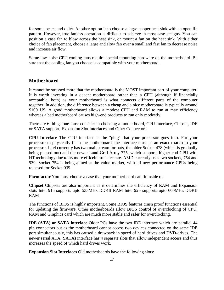for some peace and quiet. Another option is to choose a large copper heat sink with an open fin pattern. However, true fanless operation is difficult to achieve in most case designs. You can position a case fan to blow across the heat sink, or mount a fan on the heat sink. With either choice of fan placement, choose a large and slow fan over a small and fast fan to decrease noise and increase air flow.

Some low-noise CPU cooling fans require special mounting hardware on the motherboard. Be sure that the cooling fan you choose is compatible with your motherboard.

### **Motherboard**

It cannot be stressed more that the motherboard is the MOST important part of your computer. It is worth investing in a decent motherboard rather than a CPU (although if financially acceptable, both) as your motherboard is what connects different parts of the computer together. In addition, the difference between a cheap and a nice motherboard is typically around \$100 US. A good motherboard allows a modest CPU and RAM to run at max efficiency whereas a bad motherboard causes high-end products to run only modestly.

There are 6 things one must consider in choosing a motherboard, CPU Interface, Chipset, IDE or SATA support, Expansion Slot Interfaces and Other Connectors.

**CPU Interface** The CPU interface is the "plug" that your processor goes into. For your processor to physically fit in the motherboard, the interface must be an **exact match** to your processor. Intel currently has two mainstream formats, the older Socket 478 (which is gradually being phased out) and the newer Land Grid Array 775, which supports higher end CPU with HT technology due to its more efficeint transfer rate. AMD currently uses two sockets, 754 and 939. Socket 754 is being aimed at the value market, with all new performance CPUs being released for Socket 939.

**Formfactor** You must choose a case that your motherboard can fit inside of.

**Chipset** Chipsets are also important as it determines the efficiency of RAM and Expansion slots Intel 915 supports upto 533MHz DDRII RAM Intel 925 supports upto 600MHz DDRII RAM

The functions of BIOS is highly important. Some BIOS features crash proof functions essential for updating the firmware. Other motherboards allow BIOS control of overclocking of CPU, RAM and Graphics card which are much more stable and safer for overclocking.

**IDE (ATA) or SATA interface** Older PCs have the two IDE interface which are parallel 44 pin connectors but as the motherboard cannot access two devices connected on the same IDE port simultaneously, this has caused a drawback in speed of hard drives and DVD-drives. The newer serial ATA (SATA) interface has 4 separate slots that allow independent access and thus increases the speed of which hard drives work.

**Expansion Slot Interfaces** Old motherboards have the following slots: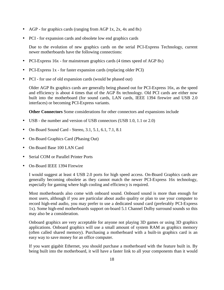- AGP for graphics cards (ranging from AGP 1x, 2x, 4x and 8x)
- PCI for expansion cards and obsolete low end graphics cards

Due to the evolution of new graphics cards on the serial PCI-Express Technology, current newer motherboards have the following connections:

- PCI-Express 16x for mainstream graphics cards (4 times speed of AGP 8x)
- PCI-Express 1x for faster expansion cards (replacing older PCI)
- PCI for use of old expansion cards (would be phased out)

Older AGP 8x graphics cards are generally being phased out for PCI-Express 16x, as the speed and efficiency is about 4 times that of the AGP 8x technology. Old PCI cards are either now built into the motherboard (for sound cards, LAN cards, IEEE 1394 firewire and USB 2.0 interfaces) or becoming PCI-Express variants.

**Other Connectors** Some considerations for other connectors and expansions include

- USB the number and version of USB connectors (USB 1.0, 1.1 or 2.0)
- On-Board Sound Card Stereo, 3.1, 5.1, 6.1, 7.1, 8.1
- On-Board Graphics Card (Phasing Out)
- On-Board Base 100 LAN Card
- Serial COM or Parallel Printer Ports
- On-Board IEEE 1394 Firewire

I would suggest at least 4 USB 2.0 ports for high speed access. On-Board Graphics cards are generally becoming obsolete as they cannot match the newer PCI-Express 16x technology, especially for gaming where high cooling and efficiency is required.

Most motherboards also come with onboard sound. Onboard sound is more than enough for most users, although if you are particular about audio quality or plan to use your computer to record high-end audio, you may prefer to use a dedicated sound card (preferably PCI-Express 1x). Some high-end motherboards support on-board 5.1 Channel Dolby surround sounds so this may also be a consideration.

Onboard graphics are very acceptable for anyone not playing 3D games or using 3D graphics applications. Onboard graphics will use a small amount of system RAM as graphics memory (often called shared memory). Purchasing a motherboard with a built-in graphics card is an easy way to save money for an office computer.

If you want gigabit Ethernet, you should purchase a motherboard with the feature built in. By being built into the motherboard, it will have a faster link to all your components than it would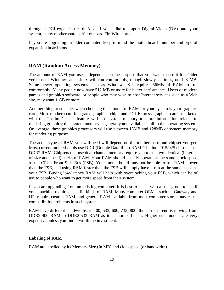through a PCI expansion card. Also, if you'd like to import Digital Video (DV) onto your system, many motherboards offer onboard FireWire ports.

If you are upgrading an older computer, keep in mind the motherboard's number and type of expansion board slots.

### **RAM (Random Access Memory)**

The amount of RAM you use is dependent on the purpose that you want to use it for. Older versions of Windows and Linux will run comfortably, though slowly at times, on 128 MB. Some newer operating systems such as Windows XP require 256MB of RAM to run comfortably. Many people now have 512 MB or more for better performance. Users of modern games and graphics software, or people who may wish to host Internet services such as a Web site, may want 1 GB or more.

Another thing to consider when choosing the amount of RAM for your system is your graphics card. Most motherboard-integrated graphics chips and PCI Express graphics cards marketed with the "Turbo Cache" feature will use system memory to store information related to rendering graphics; this system memory is generally not available at all to the operating system. On average, these graphics processors will use between 16MB and 128MB of system memory for rendering purposes.

The actual type of RAM you will need will depend on the motherboard and chipset you get. Most current motherboards use DDR (Double Data Rate) RAM. The Intel 915/925 chipsets use DDR2 RAM. Chipsets that use dual-channel memory require you to use two identical (in terms of size and speed) sticks of RAM. Your RAM should usually operate at the same clock speed as the CPU's Front Side Bus (FSB). Your motherboard may not be able to run RAM slower than the FSB, and using RAM faster than the FSB will simply have it run at the same speed as your FSB. Buying low-latency RAM will help with overclocking your FSB, which can be of use to people who want to get more speed from their system.

If you are upgrading from an existing computer, it is best to check with a user group to see if your machine requires specific kinds of RAM. Many computer OEMs, such as Gateway and HP, require custom RAM, and generic RAM available from most computer stores may cause compatibility problems in such systems.

RAM have different bandwidths, ie 400, 533, 600, 733, 800, the current trend is moving from DDR2-400 RAM to DDR2-533 RAM as it is more efficient. Higher end models are very expensive unless you find it worth the investment.

### **Labeling of RAM**

RAM are labelled by its Memory Size (In MB) and clockspeed (or bandwidth).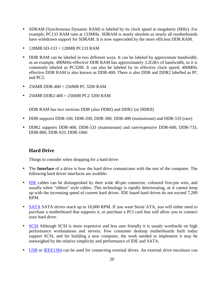- SDRAM (Synchronous Dynamic RAM) is labeled by its clock speed in megahertz (MHz). For example, PC133 RAM runs at 133MHz. SDRAM is nearly obsolete as nearly all motherboards have withdrawn support for SDRAM. It is now superceded by the more efficient DDR RAM.
- $128MB SD-133 = 128MB PC133 RAM$
- DDR RAM can be labeled in two different ways. It can be labeled by approximate bandwidth; as an example, 400MHz-effective DDR RAM has approximately 3.2GB/s of bandwidth, so it is commonly labeled as PC3200. It can also be labeled by its effective clock speed; 400MHz effective DDR RAM is also known as DDR-400. There is also DDR and DDR2 labelled as PC and PC2.
- 256MB DDR-400 = 256MB PC 3200 RAM
- 256MB DDR2-400 = 256MB PC2 3200 RAM

DDR RAM has two versions DDR (also DDRI) and DDR2 (or DDRII)

- DDR supports DDR-100, DDR-200, DDR-300, DDR-400 (mainstream) and DDR-533 (rare)
- DDR2 supports DDR-400, DDR-533 (mainstream) and rare/expensive DDR-600, DDR-733, DDR-800, DDR-933, DDR-1066

### **Hard Drive**

Things to consider when shopping for a hard drive:

- The **Interface** of a drive is how the hard drive comunicates with the rest of the computer. The following hard driver interfaces are avalible:
- IDE cables can be distinguished by their wide 40-pin connector, coloured first-pin wire, and usually white "ribbon" style cables. This technology is rapidly deteriorating, as it cannot keep up with the increasing speed of current hard drives. IDE based hard drives do not exceed 7,200 RPM.
- SATA SATA drives reach up to 10,000 RPM. If you want Serial ATA, you will either need to purchase a motherboard that supports it, or purchase a PCI card that will allow you to connect your hard drive.
- SCSI Although SCSI is more expensive and less user friendly it is usualy worthwile on high performance workstations and servers. Few consumer desktop motherboards built today support SCSI, and for building a new computer, the work needed to implement it may be outweighed by the relative simplicity and performance of IDE and SATA.
- USB or IEEE1394 can be used for connecting external drives. An external drive encolsure can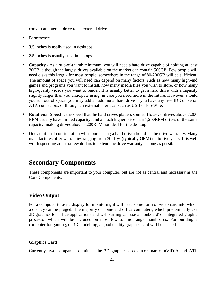convert an internal drive to an external drive.

- Formfactors:
- **3.5** inches is usally used in desktops
- **2.5** inches is usually used in laptops
- **Capacity** As a rule-of-thumb minimum, you will need a hard drive capable of holding at least 20GB, although the largest drives available on the market can contain 500GB. Few people will need disks this large - for most people, somewhere in the range of 80-200GB will be sufficient. The amount of space you will need can depend on many factors, such as how many high-end games and programs you want to install, how many media files you wish to store, or how many high-quality videos you want to render. It is usually better to get a hard drive with a capacity slightly larger than you anticipate using, in case you need more in the future. However, should you run out of space, you may add an additional hard drive if you have any free IDE or Serial ATA connectors, or through an external interface, such as USB or FireWire.
- **Rotational Speed** is the speed that the hard drives platters spin at. However drives above 7,200 RPM usually have limited capacity, and a much higher price than 7,200RPM drives of the same capacity, making drives above 7,200RPM not ideal for the desktop.
- One additional consideration when purchasing a hard drive should be the drive warranty. Many manufactures offer warranties ranging from 30 days (typically OEM) up to five years. It is well worth spending an extra few dollars to extend the drive warranty as long as possible.

### **Secondary Components**

These components are important to your computer, but are not as central and necessary as the Core Components.

### **Video Output**

For a computer to use a display for monitoring it will need some form of video card into which a display can be pluged. The majority of home and office computers, which predominatly use 2D graphics for office applications and web surfing can use an 'onboard' or integrated graphic processor which will be included on most low to mid range mainboards. For building a computer for gaming, or 3D modelling, a good quality graphics card will be needed.

### **Graphics Card**

Currently, two companies dominate the 3D graphics accelerator market nVIDIA and ATI.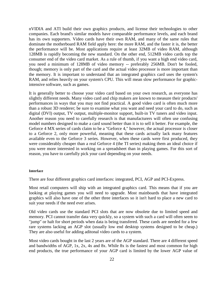nVIDIA and ATI build their own graphics products, and license their technologies to other companies. Each brand's similar models have comparable performance levels, and each brand has its own supporters. Video cards have their own RAM, and many of the same rules that dominate the motherboard RAM field apply here: the more RAM, and the faster it is, the better the performance will be. Most applications require at least 32MB of video RAM, although 128MB is rapidly becoming the new standard. On the other end, 512MB video cards top the consumer end of the video card market. As a rule of thumb, if you want a high end video card, you need a minimum of 128MB of video memory -- preferably 256MB. Don't be fooled, though; memory is only part of the card and the actual video processor is more important than the memory. It is important to understand that an integrated graphics card uses the system's RAM, and relies heavily on your system's CPU. This will mean slow performance for graphicintensive software, such as games.

It is generally better to choose your video card based on your own research, as everyone has slightly different needs. Many video card and chip makers are known to measure their products' performances in ways that you may not find practical. A good video card is often much more than a robust 3D renderer; be sure to examine what you want and need your card to do, such as digital (DVI) output, TV output, multiple-monitor support, built-in TV tuners and video input. Another reason you need to carefully research is that manufacturers will often use confusing model numbers designed to make a card sound better than it is to sell it better. For example, the Geforce 4 MX series of cards claim to be a "Geforce 4," however, the actual processor is closer to a Geforce 2, only more powerful, meaning that these cards actually lack many features available even to the Geforce 3 series. However, when these cards were first produced, they were considerably cheaper than a real Geforce 4 (the TI series) making them an ideal choice if you were more interested in working on a spreadsheet than in playing games. For this sort of reason, you have to carefully pick your card depending on your needs.

#### **Interface**

There are four different graphics card interfaces: integrated, PCI, AGP and PCI-Express.

Most retail computers will ship with an integrated graphics card. This means that if you are looking at playing games you will need to upgrade. Most mainboards that have integrated graphics will also have one of the other three interfaces so it isn't hard to place a new card to suit your needs if the need ever arises.

Old video cards use the standard PCI slots that are now obsolete due to limited speed and memory. PCI cannot transfer data very quickly, so a system with such a card will often seem to "jump" or halt for short periods when data is being transfered. These cards are needed for a few rare systems lacking an AGP slot (usually low end desktop systems designed to be cheap.) They are also useful for adding aditonal video cards to a system.

Most video cards bought in the last 2 years are of the AGP standard. There are 4 different speed and bandwidths of AGP, 1x, 2x, 4x and 8x. While 8x is the fastest and most common for high end products, the true performance of your AGP card is limited by the lower AGP value of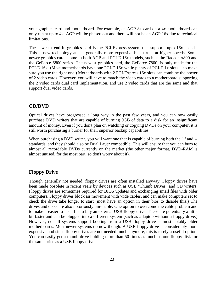your graphics card and motherboard. For example, an AGP 8x card on a 4x motherboard can only run at up to 4x. AGP will be phased out and there will not be an AGP 16x due to technical limitations.

The newest trend in graphics card is the PCI-Express system that supports upto 16x speeds. This is new technology and is generally more expensive but it runs at higher speeds. Some newer graphics cards come in both AGP and PCI-E 16x models, such as the Radeon x800 and the GeForce 6800 series. The newest graphics card, the GeForce 7800, is only made for the PCI-E 16x. (Most motherboards have one PCI-E 16x while plenty of PCI-E 1x slots... so make sure you use the right one.) Motherboards with 2 PCI-Express 16x slots can combine the power of 2 video cards. However, you will have to match the video cards to a motherboard supporting the 2 video cards dual card implementation, and use 2 video cards that are the same and that support dual video cards.

### **CD/DVD**

Optical drives have progressed a long way in the past few years, and you can now easily purchase DVD writers that are capable of burning 9GB of data to a disk for an insignificant amount of money. Even if you don't plan on watching or copying DVDs on your computer, it is still worth purchasing a burner for their superior backup capabilities.

When purchasing a DVD writer, you will want one that is capable of burning both the '+' and '-' standards, and they should also be Dual Layer compatible. This will ensure that you can burn to almost all recordable DVDs currently on the market (the other major format, DVD-RAM is almost unused, for the most part, so don't worry about it).

### **Floppy Drive**

Though generally not needed, floppy drives are often installed anyway. Floppy drives have been made obsolete in recent years by devices such as USB "Thumb Drives" and CD writers. Floppy drives are sometimes required for BIOS updates and exchanging small files with older computers. Floppy drives block air movement with wide cables, and can make computers set to check the drive take longer to start (most have an option in their bios to disable this.) The drives and disks are also notoriously unreliable. One option to overcome the cable problem and to make it easier to install is to buy an external USB floppy drive. These are potentially a little bit faster and can be plugged into a different system (such as a laptop without a floppy drive.) However, not all systems support booting from a USB floppy drive -- most notably older motherboards. Most newer systems do now though. A USB floppy drive is considerably more expensive and since floppy drives are not needed much anymore, this is rarely a useful option. You can easily get a thumb drive holding more than 50 times as much as one floppy disk for the same price as a USB floppy drive.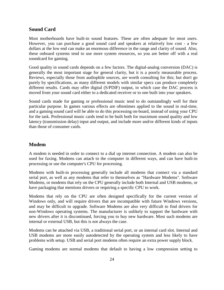### **Sound Card**

Most motherboards have built-in sound features. These are often adequate for most users. However, you can purchase a good sound card and speakers at relatively low cost - a few dollars at the low end can make an enormous difference in the range and clarity of sound. Also, these onboard systems tend to use more system resources, so you are better off with a real soundcard for gaming.

Good quality in sound cards depends on a few factors. The digital-analog conversion (DAC) is generally the most important stage for general clarity, but it is a poorly measurable process. Reviews, especially those from audiophile sources, are worth consulting for this; but don't go purely by specifications, as many different models with similar specs can produce completely different results. Cards may offer digital (S/PDIF) output, in which case the DAC process is moved from your sound card either to a dedicated receiver or to one built into your speakers.

Sound cards made for gaming or professional music tend to do outstandingly well for their particular purpose. In games various effects are oftentimes applied to the sound in real-time, and a gaming sound card will be able to do this processing on-board, instead of using your CPU for the task. Professional music cards tend to be built both for maximum sound quality and low latency (transmission delay) input and output, and include more and/or different kinds of inputs than those of consumer cards.

### **Modem**

A modem is needed in order to connect to a dial up internet connection. A modem can also be used for faxing. Modems can attach to the computer in different ways, and can have built-in processing or use the computer's CPU for processing.

Modems with built-in processing generally include all modems that connect via a standard serial port, as well as any modems that refer to themselves as "Hardware Modems". Software Modems, or modems that rely on the CPU generally include both Internal and USB modems, or have packaging that mentions drivers or requiring a specific CPU to work.

Modems that rely on the CPU are often designed specifically for the current version of Windows only, and will require drivers that are incompatible with future Windows versions, and may be difficult to upgrade. Software Modems are also very difficult to find drivers for non-Windows operating systems. The manufacturer is unlikely to support the hardware with new drivers after it is discontinued, forcing you to buy new hardware. Most such modems are internal or external USB, but this is not always the case.

Modems can be attached via USB, a traditional serial port, or an internal card slot. Internal and USB modems are more easily autodetected by the operating system and less likely to have problems with setup. USB and serial port modems often require an extra power supply block.

Gaming modems are normal modems that default to having a low compression setting to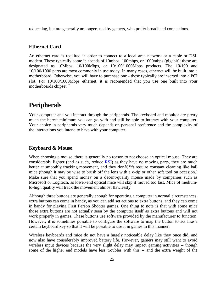reduce lag, but are generally no longer used by gamers, who prefer broadband connections.

### **Ethernet Card**

An ethernet card is required in order to connect to a local area network or a cable or DSL modem. These typically come in speeds of 10mbps, 100mbps, or 1000mbps (gigabit); these are designated as 10Mbps, 10/100Mbps, or 10/100/1000Mbps products. The 10/100 and 10/100/1000 parts are most commonly in use today. In many cases, ethernet will be built into a motherboard. Otherwise, you will have to purchase one - these typically are inserted into a PCI slot. For 10/100/1000Mbps ethernet, it is recomended that you use one built into your motherboards chipset.``

### **Peripherals**

Your computer and you interact through the peripherals. The keyboard and monitor are pretty much the barest minimum you can go with and still be able to interact with your computer. Your choice in peripherals very much depends on personal preference and the complexity of the interactions you intend to have with your computer.

### **Keyboard & Mouse**

When choosing a mouse, there is generally no reason to not choose an optical mouse. They are considerably lighter (and as such, reduce RSI) as they have no moving parts, they are much better at smoothly tracking movement, and they donâ€™t require constant cleaning like ball mice (though it may be wise to brush off the lens with a q-tip or other soft tool on occasion.) Make sure that you spend money on a decent-quality mouse made by companies such as Microsoft or Logitech, as lower-end optical mice will skip if moved too fast. Mice of mediumto-high quality will track the movement almost flawlessly.

Although three buttons are generally enough for operating a computer in normal circumstances, extra buttons can come in handy, as you can add set actions to extra buttons, and they can come in handy for playing First Person Shooter games. One thing to note is that with some mice those extra buttons are not actually seen by the computer itself as extra buttons and will not work properly in games. These buttons use software provided by the manufacturer to function. However, it is sometimes possible to configure the software to map the button to act like a certain keyboard key so that it will be possible to use it in games in this manner.

Wireless keyboards and mice do not have a hugely noticeable delay like they once did, and now also have considerably improved battery life. However, gamers may still want to avoid wireless input devices because the very slight delay may impact gaming activities -- though some of the higher end models have less troubles with this -- and the extra weight of the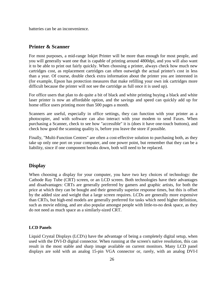batteries can be an inconvenience.

### **Printer & Scanner**

For most purposes, a mid-range Inkjet Printer will be more than enough for most people, and you will generally want one that is capable of printing around 4800dpi, and you will also want it to be able to print out fairly quickly. When choosing a printer, always check how much new cartridges cost, as replacement cartridges can often outweigh the actual printer's cost in less than a year. Of course, double check extra information about the printer you are interested in (for example, Epson has protection measures that make refilling your own ink cartridges more difficult because the printer will not see the cartridge as full once it is used up).

For office users that plan to do quite a bit of black and white printing buying a black and white laser printer is now an affordable option, and the savings and speed can quickly add up for home office users printing more than 500 pages a month.

Scanners are useful, especially in office settings, they can function with your printer as a photocopier, and with software can also interact with your modem to send Faxes. When purchasing a Scanner, check to see how "accessible" it is (does it have one-touch buttons), and check how good the scanning quality is, before you leave the store if possible.

Finally, "Multi-Function Centres" are often a cost-effective solution to purchasing both, as they take up only one port on your computer, and one power point, but remember that they can be a liability, since if one component breaks down, both will need to be replaced.

### **Display**

When choosing a display for your computer, you have two key choices of technology: the Cathode Ray Tube (CRT) screen, or an LCD screen. Both technologies have their advantages and disadvantages: CRTs are generally preferred by gamers and graphic artists, for both the price at which they can be bought and their generally superior response times, but this is offset by the added size and weight that a large screen requires. LCDs are generally more expensive than CRTs, but high-end models are generally preferred for tasks which need higher definition, such as movie editing, and are also popular amongst people with little-to-no desk space, as they do not need as much space as a similarly-sized CRT.

### **LCD Panels**

Liquid Crystal Displays (LCD's) have the advantage of being a completely digital setup, when used with the DVI-D digital connector. When running at the screen's native resolution, this can result in the most stable and sharp image available on current monitors. Many LCD panel displays are sold with an analog 15-pin VGA connector or, rarely, with an analog DVI-I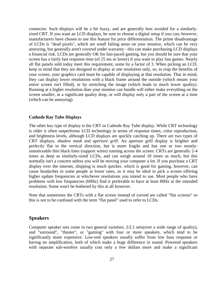connector. Such displays will be a bit fuzzy, and are generally best avoided for a similarlysized CRT. If you want an LCD displays, be sure to choose a digital setup if you can; however, manufacturers have chosen to use this feature for price differentiation. The prime disadvantage of LCDs is "dead pixels", which are small failing areas on your monitor, which can be very annoying, but generally aren't covered under warranty - this can make purchasing LCD displays a financial risk. LCDs are generally OK for fast-paced gaming, but you should be sure that your screen has a fairly fast response time (of 25 ms or lower) if you want to play fast games. Nearly all flat panels sold today meet this requirement, some by a factor of 3. When picking an LCD, keep in mind that they are designed to display at one resolution only, so, to reap the benefits of your screen, your graphics card must be capable of displaying at that resolution. That in mind, they can display lower resolutions with a black frame around the outside (which means your entire screen isn't filled), or by stretching the image (which leads to much lower quality). Running at a higher resolution than your monitor can handle will either make everything on the screen smaller, at a significant quality drop, or will display only a part of the screen at a time (which can be annoying).

### **Cathode Ray Tube Displays**

The other key type of display is the CRT or Cathode Ray Tube display. While CRT technology is older it often outperforms LCD technology in terms of response times, color reproduction, and brightness levels, although LCD displays are quickly catching up. There are two types of CRT displays, *shadow mask* and *aperture grill*. An aperture grill display is brighter and perfectly flat in the vertical direction, but is more fragile and has one or two mostlyunnoticeable thin black lines (support wires) running across the screen. CRTs are generally 2-4 times as deep as similarly-sized LCDs, and can weigh around 10 times as much, but this normally isn't a concern unless you will be moving your computer a lot. If you purchase a CRT display over the internet, shipping is much quicker, which is good for gaming, however, can cause headaches in some people at lower rates, so it may be ideal to pick a screen offering higher update frequencies at whichever resolutions you intend to use. Most people who have problems with low frequencies (60Hz) find it preferable to have at least 80Hz at the intended resolution. Some won't be bothered by this at all however.

Note that sometimes the CRTs with a flat screen instead of curved are called "flat screens" so this is not to be confused with the term "flat panel" used to refer to LCDs.

### **Speakers**

Computer speaker sets come in two general varieties; 2/2.1 sets(over a wide range of quality), and "surround", "theater", or "gaming" with four or more speakers, which tend to be significantly more expensive. Low-end speakers usually suffer from low bass response or having no amplification, both of which make a huge difference in sound. Powered speakers with separate sub-woofers usually cost only a few dollars more and make a significant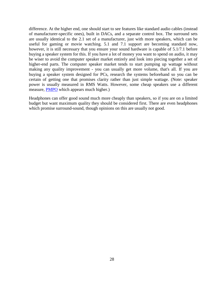difference. At the higher end, one should start to see features like standard audio cables (instead of manufacturer-specific ones), built in DACs, and a separate control box. The surround sets are usually identical to the 2.1 set of a manufacturer, just with more speakers, which can be useful for gaming or movie watching. 5.1 and 7.1 support are becoming standard now, however, it is still necessary that you ensure your sound hardware is capable of 5.1/7.1 before buying a speaker system for this. If you have a lot of money you want to spend on audio, it may be wiser to avoid the computer speaker market entirely and look into piecing together a set of higher-end parts. The computer speaker market tends to start pumping up wattage without making any quality improvement - you can usually get more volume, that's all. If you are buying a speaker system designed for PCs, research the systems beforehand so you can be certain of getting one that promises clarity rather than just simple wattage. (Note: speaker power is usually measured in RMS Watts. However, some cheap speakers use a different measure, PMPO which appears much higher.)

Headphones can offer good sound much more cheaply than speakers, so if you are on a limited budget but want maximum quality they should be considered first. There are even headphones which promise surround-sound, though opinions on this are usually not good.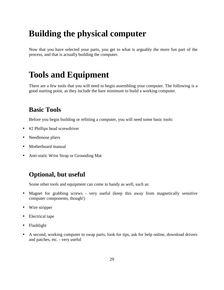# **Building the physical computer**

Now that you have selected your parts, you get to what is arguably the more fun part of the process, and that is actually building the computer.

# **Tools and Equipment**

There are a few tools that you will need to begin assembling your computer. The following is a good starting point, as they include the bare minimum to build a working computer.

### **Basic Tools**

Before you begin building or refitting a computer, you will need some basic tools:

- #2 Phillips head screwdriver
- Needlenose pliers
- Motherboard manual
- Anti-static Wrist Strap or Grounding Mat

### **Optional, but useful**

Some other tools and equipment can come in handy as well, such as:

- Magnet for grabbing screws very useful (keep this away from magnetically sensitive computer components, though!)
- Wire stripper
- Electrical tape
- Flashlight
- A second, working computer to swap parts, look for tips, ask for help online, download drivers and patches, etc. - very useful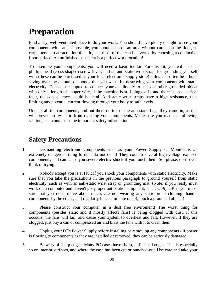# **Preparation**

Find a dry, well-ventilated place to do your work. You should have plenty of light to see your components with, and if possible, you should choose an area without carpet on the floor, as carpet tends to attract a lot of static, and most of this can be averted by choosing a conductive floor surface. An unfinished basement is a perfect work location!

To assemble your components, you will need a basic toolkit. For this kit, you will need a phillips-head (cross-shaped) screwdriver, and an anti-static wrist strap, for grounding yourself with (these can be purchased at your local electronic supply store) - this can often be a huge saving over the amount of money that you waste by destroying your components with static electricity. Do not be tempted to connect yourself directly to a tap or other grounded object with only a length of copper wire, if the machine is still plugged in and there is an electrical fault, the consequences could be fatal. Anti-static wrist straps have a high resistance, thus limiting any potential current flowing through your body to safe levels.

Unpack all the components, and put them on top of the anti-static bags they came in, as this will prevent stray static from reaching your components. Make sure you read the following section, as it contains some important safety information.

### **Safety Precautions**

- 1. Dismantling electronic components such as your Power Supply or Monitor is an extremely dangerous thing to do - do not do it! They contain several high-voltage exposed components, and can cause you severe electric shock if you touch them. So, please, don't even think of trying.
- 2. Nobody except you is at fault if you shock your components with static electricity. Make sure that you take the precautions in the previous paragraph to ground yourself from static electricity, such as with an anti-static wrist strap or grounding mat. (Note: if you really must work on a computer and haven't got proper anti-static equipment, it is *usually* OK if you make sure that you don't move about much; are not wearing any static-prone clothing; handle components by the edges; and regularly (once a minute or so), touch a grounded object.)
- 3. Please construct your computer in a dust free enviroment! The worst thing for components (besides static and it mostly affects fans) is being clogged with dust. If this occours, the fans will fail, and cause your system to overheat and fail. However, if they are clogged, just buy a can of compressed air and blast the fans with it to clean them.
- 4. Unplug your PC's Power Supply before installing or removing any components if power is flowing to components as they are installed or removed, they can be seriously damaged.
- 5. Be wary of sharp edges! Many PC cases have sharp, unfinished edges. This is especially so on interior surfaces, and where the case has been cut or punched-out. Use care and take your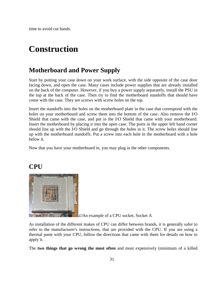time to avoid cut hands.

# **Construction**

### **Motherboard and Power Supply**

Start by putting your case down on your work surface, with the side opposite of the case door facing down, and open the case. Many cases include power supplies that are already installed on the back of the computer. However, if you buy a power supply separately, install the PSU in the top at the back of the case. Then try to find the motherboard standoffs that should have come with the case. They are screws with screw holes on the top.

Insert the standoffs into the holes on the motherboard plate in the case that correspond with the holes on your motherboard and screw them into the bottom of the case. Also remove the I/O Shield that came with the case, and put in the I/O Shield that came with your motherboard. Insert the motherboard by placing it into the open case. The ports in the upper left hand corner should line up with the I/O Shield and go through the holes in it. The screw holes should line up with the motherboard standoffs. Put a screw into each hole in the motherboard with a hole below it.

Now that you have your motherboard in, you may plug in the other components.

### **CPU**



**An example of a CPU socket, Socket A** 

As installation of the different makes of CPU can differ between brands, it is generally safer to refer to the manufacturer's instructions, that are provided with the CPU. If you are using a thermal paste with your CPU, follow the directions that came with them for details on how to apply it.

The **two things that go wrong the most often** and most expensively (minimum of a killed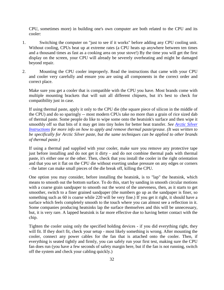CPU, sometimes more) in building one's own computer are both related to the CPU and its cooler:

- 1. Switching the computer on "just to see if it works" before adding any CPU cooling unit. Without cooling, CPUs heat up at extreme rates (a CPU heats up anywhere between ten times and a thousand times as fast as a cooking area on your stove!) By the time you will get the first display on the screen, your CPU will already be severely overheating and might be damaged beyond repair.
- 2. Mounting the CPU cooler improperly. Read the instructions that came with your CPU and cooler very carefully and ensure you are using all components in the correct order and correct place.

Make sure you get a cooler that is compatible with the CPU you have. Most brands come with multiple mounting brackets that will suit all different chipsets, but it's best to check for compatibility just in case.

If using thermal paste, apply it only to the CPU die (the square piece of silicon in the middle of the CPU) and do so sparingly -- most modern CPUs take no more than a grain of rice sized dab of thermal paste. Some people do like to wipe some onto the heatsink's surface and then wipe it smoothly off so that bits of it may get into tiny holes for better heat transfer. *See Arctic Silver Instructions for more info on how to apply and remove thermal paste/grease. (It was written to be specifically for Arctic Silver paste, but the same techniques can be applied to other brands of thermal paste.)*

If using a thermal pad supplied with your cooler, make sure you remove any protective tape just before installing and do not get it dirty - and do not combine thermal pads with thermal paste, it's either one or the other. Then, check that you install the cooler in the right orientation and that you set it flat on the CPU die without exerting undue pressure on any edges or corners - the latter can make small pieces of the die break off, killing the CPU.

One option you may consider, before installing the heatsink, is to "lap" the heatsink, which means to smooth out the bottom surface. To do this, start by sanding in smooth circular motions with a coarse grain sandpaper to smooth out the worst of the uneveness, then, as it starts to get smoother, switch to a finer grained sandpaper (the numbers go up as the sandpaper is finer, so something such as 60 is coarse while 220 will be very fine.) If you get it right, it should have a surface which feels completely smooth to the touch where you can almost see a reflection in it. Some companies producing heatsinks lap the surface themselves and this will be unnecessary, but, it is very rare. A lapped heatsink is far more effective due to having better contact with the chip.

Tighten the cooler using only the specified holding devices - if you did everything right, they will fit. If they don't fit, check your setup - most likely something is wrong. After mounting the cooler, connect any power cables for the fan that is attached onto the cooler. Then, if everything is seated tightly and firmly, you can safely run your first test, making sure the CPU fan does run (you have a few seconds of safety margin here, but if the fan is not running, switch off the system and check your cabling quickly.)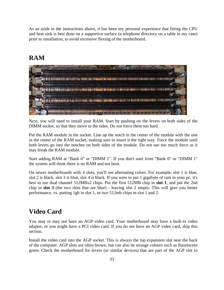As an aside to the instructions above, it has been my personal experience that fitting the CPU and heat sink is best done on a supportive surface (a telephone directory on a table in my case) prior to installation, to avoid excessive flexing of the motherboard.

### **RAM**



Next, you will need to install your RAM. Start by pushing on the levers on both sides of the DIMM socket, so that they move to the sides. Do not force them too hard.

Put the RAM module in the socket. Line up the notch in the center of the module with the one in the center of the RAM socket, making sure to insert it the right way. Force the module until both levers go into the notches on both sides of the module. Do not use too much force as it may break the RAM module.

Start adding RAM at "Bank 0" or "DIMM 1". If you don't start from "Bank 0" or "DIMM 1" the system will think there is no RAM and not boot.

On newer motherboards with 4 slots, you'll see alternating colors. For example, slot 1 is blue, slot 2 is black, slot 3 is blue, slot 4 is black. If you were to put 1 gigabyte of ram in your pc, it's best to use dual channel 512MBx2 chips. Put the first 512MB chip in **slot 1**, and put the 2nd chip in **slot 3** (the two slots that are blue) - leaving slot 2 empty. This will give you better performance, vs. putting 1gb in slot 1, or two 512mb chips in slot 1 and 2.

### **Video Card**

You may or may not have an AGP video card. Your motherboard may have a built-in video adapter, or you might have a PCI video card. If you do not have an AGP video card, skip this section.

Install the video card into the AGP socket. This is always the top expansion slot near the back of the computer. AGP slots are often brown, but can also be strange colours such as fluorescent green. Check the motherboard for levers (or similar devices) that are part of the AGP slot to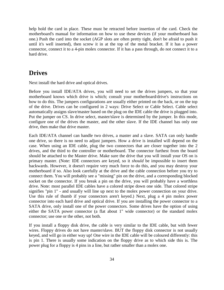help hold the card in place. These must be retracted before insertion of the card. Check the motherboard's manual for information on how to use these devices (if your motherboard has one.) Push the card into the socket (AGP slots are often pretty tight, don't be afraid to push it until it's well inserted), then screw it in at the top of the metal bracket. If it has a power connector, connect it to a 4-pin molex connector. If it has a pass through, do not connect it to a hard drive.

### **Drives**

Next install the hard drive and optical drives.

Before you install IDE/ATA drives, you will need to set the drives jumpers, so that your motherboard knows which drive is which; consult your motherboard/drive's instructions on how to do this. The jumpers configurations are usually either printed on the back, or on the top of the drive. Drives can be configured in 2 ways: Drive Select or Cable Select. Cable select automatically assigns slave/master based on the plug on the IDE cable the drive is plugged into. Put the jumper on CS. In drive select, master/slave is determined by the jumper. In this mode, configure one of the drives the master, and the other slave. If the IDE channel has only one drive, then make that drive master.

Each IDE/ATA channel can handle two drives, a master and a slave. SATA can only handle one drive, so there is no need to adjust jumpers. How a drive is installed will depend on the case. When using an IDE cable, plug the two connectors that are closer together into the 2 drives, and the third to the controller or motherboard. The connector furthest from the board should be attached to the Master drive. Make sure the drive that you will install your OS on is primary master. (Note: IDE connectors are keyed, so it *should* be impossible to insert them backwards. However, it doesn't require very much force to do this, and you may destroy your motherboard if so. Also look carefully at the drive and the cable connection before you try to connect them. You will probably see a "missing" pin on the drive, and a corresponding blocked socket on the connector. If you break a pin on the drive, you will probably have a worthless drive. Note: most parallel IDE cables have a colored stripe down one side. That colored stripe signifies "pin 1" - and usually will line up next to the molex power connection on your drive. Use this rule of thumb if your connectors aren't keyed.) Next, plug a 4 pin molex power connector into each hard drive and optical drive. If you are installing the power connector to a SATA drive, only install one of the power connectors. Some drives have the option of using either the SATA power connector (a flat about 1" wide connector) or the standard molex connector; use one or the other, not both.

If you install a floppy disk drive, the cable is very similar to the IDE cable, but with fewer wires. Floppy drives do not have master/slave. BUT the floppy disk connector is not usually keyed, and will go in either way up! One wire in the IDE cable will be coloured differently: this is pin 1. There is usually some indication on the floppy drive as to which side this is. The power plug for a floppy is 4 pins in a line, but rather smaller than a molex one.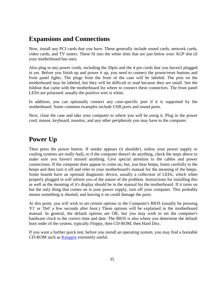### **Expansions and Connections**

Now, install any PCI cards that you have. These generally include sound cards, network cards, video cards, and TV tuners. These fit into the white slots that are just below your AGP slot (if your motherboard has one).

Also plug in any power cords, including the 20pin and the 4 pin cords that you haven't plugged in yet. Before you finish up and power it up, you need to connect the power/reset buttons and front panel lights. The plugs from the front of the case will be labeled. The pins on the motherboard may be labeled, but they will be difficult to read because they are small. See the foldout that came with the motherboard for where to connect these connectors. The front panel LEDs are polarised: usually the positive wire is white.

In addition, you can optionally connect any case-specific port if it is supported by the motherboard. Some common examples include USB ports and sound ports.

Next, close the case and take your computer to where you will be using it. Plug in the power cord, mouse, keyboard, monitor, and any other peripherals you may have to the computer.

### **Power Up**

Then press the power button. If smoke appears (it shouldn't, unless your power supply or cooling systems are really bad), or if the computer doesn't do anything, check the steps above to make sure you haven't missed anything. Give special attention to the cables and power connections. If the computer does appear to come on, but, you hear beeps, listen carefully to the beeps and then turn it off and refer to your motherboard's manual for the meaning of the beeps. Some boards have an optional diagnostic device, usually a collection of LEDs, which when properly plugged in will inform you of the nature of the problem. Instructions for installing this as well as the meaning of it's display should be in the manual for the motherboard. If it turns on but the only thing that comes on is your power supply, turn off your computer. This probably means something is shorted, and leaving it on could damage the parts.

At this point, you will wish to set certain options in the Computer's BIOS (usually be pressing 'F1' or 'Del' a few seconds after boot.) These options will be explained in the motherboard manual. In general, the default options are OK, but you may wish to set the computer's hardware clock to the correct time and date. The BIOS is also where you determine the default boot order of the system, typically Floppy, then CD-ROM, then Hard Disc.

If you want a further quick test, before you install an operating system, you may find a bootable CD-ROM such as Knoppix extremely useful.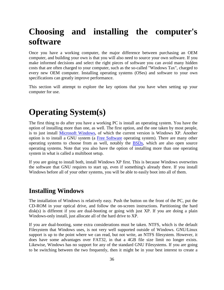# **Choosing and installing the computer's software**

Once you have a working computer, the major difference between purchasing an OEM computer, and building your own is that you will also need to source your own software. If you make informed decisions and select the right pieces of software you can avoid many hidden costs that are often charged to your computer, such as the so-called "Windows Tax", charged to every new OEM computer. Installing operating systems (OSes) and software to your own specifications can greatly improve performance.

This section will attempt to explore the key options that you have when setting up your computer for use.

# **Operating System(s)**

The first thing to do after you have a working PC is install an operating system. You have the option of installing more than one, as well. The first option, and the one taken by most people, is to just install Microsoft Windows, of which the current version is Windows XP. Another option is to install a GNU system (a Free Software operating system). There are many other operating systems to choose from as well, notably the BSDs, which are also open source operating systems. Note that you also have the option of installing more than one operating system in what is called a multiboot setup.

If you are going to install both, install Windows XP first. This is because Windows overwrites the software that GNU requires to start up, even if something's already there. If you install Windows before all of your other systems, you will be able to easily boot into all of them.

### **Installing Windows**

The installation of Windows is relatively easy. Push the button on the front of the PC, put the CD-ROM in your optical drive, and follow the on-screen instructions. Partitioning the hard disk(s) is different if you are dual-booting or going with just XP. If you are doing a plain Windows-only install, just allocate all of the hard drive to XP.

If you are dual-booting, some extra considerations must be taken. NTFS, which is the default Filesystem that Windows uses, is not very well supported outside of Windows. GNU/Linux support is up to the point where we can read, but not write, an NTFS filesystem. However, it does have some advantages over FAT32, in that a 4GB file size limit no longer exists. Likewise, Windows has no support for any of the standard GNU Filesystems. If you are going to be switching between the two frequently, then it might be in your best interest to create a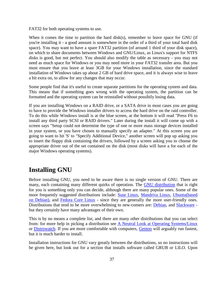FAT32 for both operating systems to use.

When it comes the time to partition the hard disk(s), remember to leave space for GNU (if you're installing it - a good amount is somewhere in the order of a third of your total hard disk space). You may want to have a spare FAT32 partition (of around 1 third of your disk space), on which to share documents between Windows and GNU/Linux, as Linux's support for NTFS disks is good, but not perfect. You should also modify the table as necessary - you may not need as much space for Windows or you may need more in your FAT32 transfer area. But you must ensure that you leave at least 3GB for your Windows installation, since the standard installation of Windows takes up about 2 GB of hard drive space, and it is always wise to leave a bit extra on, to allow for any changes that may occur.

Some people find that it's useful to create separate partitions for the operating system and data. This means that if something goes wrong with the operating system, the partition can be formatted and the operating system can be reinstalled without possibily losing data.

If you are installing Windows on a RAID drive, or a SATA drive in most cases you are going to have to provide the Windows installer drivers to access the hard drive on the raid controller. To do this while Windows install is at the blue screen, at the bottom it will read "Press F6 to install any third party SCSI or RAID drivers." Later during the install it will come up with a screen says "Setup could not determine the type of one or more mass storage devices installed in your system, or you have chosen to manually specify an adapter." At this screen you are going to want to hit 'S' to "Specify Additional Device," another screen will pop up asking you to insert the floppy disk containing the drivers, followed by a screen asking you to choose the appropriate driver out of the set contained on the disk (most disks will have a for each of the major Windows operating systems).

### **Installing GNU**

Before installing GNU, you need to be aware there is no single version of GNU. There are many, each containing many different quirks of operation. The GNU distribution that is right for you is something only you can decide, although there are many popular ones. Some of the more frequently suggested distributions include: Suse Linux, Mandriva Linux, Ubuntu(based on Debian), and Fedora Core Linux - since they are generally the more user-friendly ones. Distributions that tend to be more overwhelming to new-comers are: Debian, and Slackware but they certainly have many advantages of their own.

This is by no means a complete list, and there are many other distributions that you can select from: for more help in picking a distribution see A Neutral Look at Operating Systems/Linux or Distrowatch. If you are more comfortable with computers, Gentoo will arguably run fastest, but it is much harder to install.

Installation instructions for GNU vary greatly between the distributions, so no instructions will be given here, but look out for a section that installs software called GRUB or LILO. Upon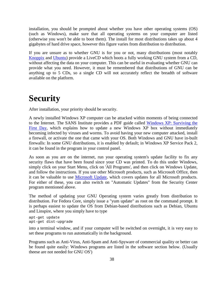installation, you should be prompted about whether you have other operating systems (OS) (such as Windows), make sure that all operating systems on your computer are listed (otherwise you won't be able to boot them). The install for most distributions takes up about 4 gigabytes of hard drive space, however this figure varies from distribution to distribution.

If you are unsure as to whether GNU is for you or not, many distributions (most notably Knoppix and Ubuntu) provide a LiveCD which boots a fully working GNU system from a CD, without affecting the data on your computer. This can be useful in evaluating whether GNU can provide what you need. However, it must be remembered that distributions of GNU can be anything up to 5 CDs, so a single CD will not accurately reflect the breadth of software available on the platform.

# **Security**

After installation, your priority should be security.

A newly installed Windows XP computer can be attacked within moments of being connected to the Internet. The SANS Institute provides a PDF guide called Windows XP: Surviving the First Day, which explains how to update a new Windows XP box without immediately becoming infected by viruses and worms. To avoid having your new computer attacked, install a firewall, or activate the one that came with your OS. Both Windows and GNU have in-built firewalls: In some GNU distributions, it is enabled by default; in Windows XP Service Pack 2, it can be found in the program in your control panel.

As soon as you are on the internet, run your operating system's update facility to fix any security flaws that have been found since your CD was printed. To do this under Windows, simply click on your Start Menu, click on 'All Programs', and then click on Windows Update, and follow the instructions. If you use other Microsoft products, such as Microsoft Office, then it can be valuable to use Microsoft Update, which covers updates for all Microsoft products. For either of these, you can also switch on "Automatic Updates" from the Security Center program mentioned above.

The method of updating your GNU Operating system varies greatly from distribution to distribution. For Fedora Core, simply issue a "yum update" as root on the command prompt. It is perhaps easiest to update the OS from Debian-based distributions such as Debian, Ubuntu and Linspire, where you simply have to type

```
apt-get update
apt-get dist-upgrade
```
into a terminal window, and if your computer will be switched on overnight, it is very easy to set these programs to run automatically in the background.

Programs such as Anti-Virus, Anti-Spam and Anti-Spyware of commercial quality or better can be found quite easily: Windows programs are listed in the software section below. (Usually theese are not needed for GNU OS')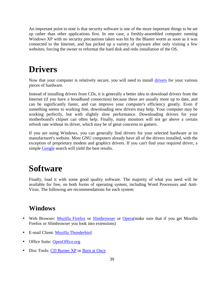An important point to note is that security software is one of the more important things to be set up rather than other applications first. In one case, a freshly-assembled computer running Windows XP with no security precautions taken was hit by the Blaster worm as soon as it was connected to the Internet, and has picked up a variety of spyware after only visiting a few websites; forcing the owner to reformat the hard disk and redo installation of the OS.

# **Drivers**

Now that your computer is relatively secure, you will need to install drivers for your various pieces of hardware.

Instead of installing drivers from CDs, it is generally a better idea to download drivers from the Internet (if you have a broadband connection) because these are usually more up to date, and can be significantly faster, and can improve your computer's efficiency greatly. Even if something seems to working fine, downloading new drivers may help. Your computer may be working perfectly, but with slightly slow performance. Downloading drivers for your motherboard's chipset can often help. Finally, many monitors will not go above a certain refresh rate without its driver, which may be of great concerns to gamers.

If you are using Windows, you can generally find drivers for your selected hardware at its manufacturer's website. Most GNU computers already have all of the drivers installed, with the exception of proprietary modem and graphics drivers. If you can't find your required driver, a simple Google search will yield the best results.

# **Software**

Finally, load it with some good quality software. The majority of what you need will be available for free, on both forms of operating system, including Word Processors and Anti-Virus. The following are recommendations for each system:

### **Windows**

- Web Browser: Mozilla Firefox or Slimbrowser or Opera (make sure that if you get Mozilla Firefox or Slimbrowser you look into extensions)
- E-mail Client: Mozilla Thunderbird
- Office Suite: OpenOffice.org
- Disc Tools: CD Burner XP or Burn at Once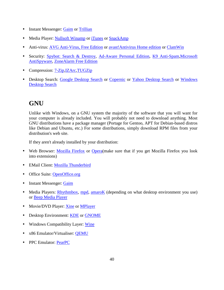- Instant Messenger: Gaim or Trillian
- Media Player: Nullsoft Winamp or iTunes or SnackAmp
- Anti-virus: AVG Anti-Virus, Free Edition or avast! Antivirus Home edition or ClamWin
- Security: Spybot: Search & Destroy, Ad-Aware Personal Edition, K9 Anti-Spam, Microsoft AntiSpyware, ZoneAlarm Free Edition
- Compression: 7-Zip, IZArc, TUGZip
- Desktop Search: Google Desktop Search or Copernic or Yahoo Desktop Search or Windows Desktop Search

### **GNU**

Unlike with Windows, on a GNU system the majority of the software that you will want for your computer is already included. You will probably not need to download anything. Most GNU distributions have a package manager (Portage for Gentoo, APT for Debian-based distros like Debian and Ubuntu, etc.) For some distributions, simply download RPM files from your distribution's web site.

If they aren't already installed by your distribution:

- Web Browser: Mozilla Firefox or Opera(make sure that if you get Mozilla Firefox you look into extensions)
- EMail Client: Mozilla Thunderbird
- Office Suite: OpenOffice.org
- Instant Messenger: Gaim
- Media Players: Rhythmbox, mpd, amaroK (depending on what desktop environment you use) or Beep Media Player
- Movie/DVD Player: Xine or MPlayer
- Desktop Environment: KDE or GNOME
- Windows Compatibility Layer: Wine
- x86 Emulator/Virtualiser: QEMU
- PPC Emulator: PearPC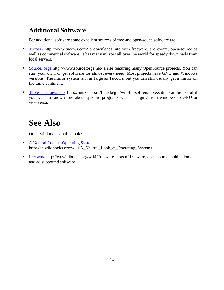### **Additional Software**

For additional software some excellent sources of free and open-souce software are

- Tucows http://www.tucows.com/ a downloads site with freeware, shareware, open-source as well as commercial software. It has many mirrors all over the world for speedy downloads from local servers.
- SourceForge http://www.sourceforge.net/ a site featuring many OpenSource projects. You can start your own, or get software for almost every need. Most projects have GNU and Windows versions. The mirror system isn't as large as Tucows, but you can still usually get a mirror on the same continent.
- Table of equivalents http://linuxshop.ru/linuxbegin/win-lin-soft-en/table.shtml can be useful if you want to know more about specific programs when changing from windows to GNU or vice-versa.

# **See Also**

Other wikibooks on this topic:

- A Neutral Look at Operating Systems http://en.wikibooks.org/wiki/A\_Neutral\_Look\_at\_Operating\_Systems
- Freeware http://en.wikibooks.org/wiki/Freeware lots of freeware, open source, public domain and ad supported software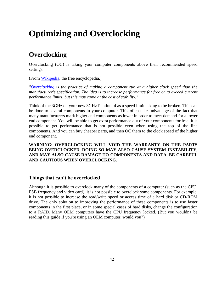# **Optimizing and Overclocking**

### **Overclocking**

Overclocking (OC) is taking your computer components above their recommended speed settings.

(From Wikipedia, the free encyclopedia.)

*"Overclocking is the practice of making a component run at a higher clock speed than the manufacturer's specification. The idea is to increase performance for free or to exceed current performance limits, but this may come at the cost of stability."*

Think of the 3GHz on your new 3GHz Pentium 4 as a speed limit asking to be broken. This can be done to several components in your computer. This often takes advantage of the fact that many manufacturers mark higher end components as lower in order to meet demand for a lower end component. You will be able to get extra performance out of your components for free. It is possible to get performance that is not possible even when using the top of the line components. And you can buy cheaper parts, and then OC them to the clock speed of the higher end component.

**WARNING: OVERCLOCKING WILL VOID THE WARRANTY ON THE PARTS BEING OVERCLOCKED. DOING SO MAY ALSO CAUSE SYSTEM INSTABILITY, AND MAY ALSO CAUSE DAMAGE TO COMPONENTS AND DATA. BE CAREFUL AND CAUTIOUS WHEN OVERCLOCKING.**

### **Things that can't be overclocked**

Although it is possible to overclock many of the components of a computer (such as the CPU, FSB frequency and video card), it is not possible to overclock some components. For example, it is not possible to increase the read/write speed or access time of a hard disk or CD-ROM drive. The only solution to improving the performance of these components is to use faster components in the first place, or in some special cases of hard disks, change the configuration to a RAID. Many OEM computers have the CPU frequency locked. (But you wouldn't be reading this guide if you're using an OEM computer, would you?)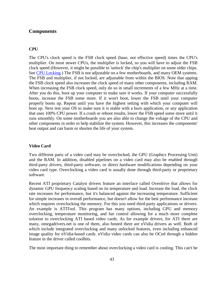### **Components**

### **CPU**

The CPU's clock speed is the FSB clock speed (base, not effective speed) times the CPU's multiplier. On most newer CPUs, the multiplier is locked, so you will have to adjust the FSB clock speed (However, it might be possible to 'unlock' the chip's multiplier on some older chips. See CPU Locking.) The FSB is not adjustable on a few motherboards, and many OEM systems. The FSB and multiplier, if not locked, are adjustable from within the BIOS. Note that upping the FSB clock speed also increases the clock speed of many other components, including RAM. When increasing the FSB clock speed, only do so in small increments of a few MHz at a time. After you do this, boot up your computer to make sure it works. If your computer successfully boots, increase the FSB some more. If it won't boot, lower the FSB until your computer properly boots up. Repeat until you have the highest setting with which your computer will boot up. Next test your OS to make sure it is stable with a burn application, or any application that uses 100% CPU power. If a crash or reboot results, lower the FSB speed some more until it runs smoothly. On some motherboards you are also able to change the voltage of the CPU and other components in order to help stabilize the system. However, this increases the components' heat output and can harm or shorten the life of your system.

#### **Video Card**

Two different parts of a video card may be overclocked, the GPU (Graphics Processing Unit) and the RAM. In addition, disabled pipelines on a video card may also be enabled through third-party drivers, third-party software, or direct hardware modifications depending on your video card type. Overclocking a video card is usually done through third-party or proprietary software.

Recent ATI proprietary Catalyst drivers feature an interface called Overdrive that allows for dynamic GPU frequency scaling based on its temperature and load. Increase the load, the clock rate increases for performance, but it's balanced against the increasing temperature. Sufficient for simple increases in overall performance, but doesn't allow for the best performance increase which requires overclocking the memory. For this you need third-party applications or drivers. An example is ATITool. This program has many options, including GPU and memory overclocking, temperature monitoring, and fan control allowing for a much more complete solution to overclocking ATI based video cards. As for example drivers, for ATI there are many, omegadrivers.net is one of them, also hosted there are nVidia drivers as well. Both of which include integrated overclocking and many unlocked features, even including enhanced image quality for nVidia-based cards. nVidia video cards can also be OCed through a hidden feature in the driver called coolbits.

The most important thing to remember about overclocking a video card is cooling. This can't be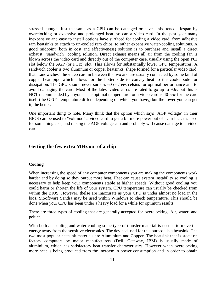stressed enough. Just the same as a CPU can be damaged or have a shortened lifespan by overclocking or excessive and prolonged heat, so can a video card. In the past year many inexpensive and easy to install options have surfaced for cooling a video card, from adhesive ram heatsinks to attach to un-cooled ram chips, to rather expensive water-cooling solutions. A good midpoint (both in cost and effectiveness) solution is to purchase and install a direct exhaust, "sandwich" cooling solution. Direct exhaust means all air from the cooling fan is blown across the video card and directly out of the computer case, usually using the open PCI slot below the AGP (or PCIx) slot. This allows for substantially lower GPU temperatures. A sandwich cooler is two aluminum or copper heatsinks, shape formed for a particular video card, that "sandwiches" the video card in between the two and are usually connected by some kind of copper heat pipe which allows for the hotter side to convey heat to the cooler side for dissipation. The GPU should never surpass 60 degrees celsius for optimal performance and to avoid damaging the card. Most of the latest video cards are rated to go up to 90c, but this is NOT recommended by anyone. The optimal temperature for a video card is 40-55c for the card itself (the GPU's temperature differs depending on which you have,) but the lower you can get it, the better.

One important thing to note. Many think that the option which says "AGP voltage" in their BIOS can be used to "voltmod" a video card to get a bit more power out of it. In fact, it's used for something else, and raising the AGP voltage can and probably will cause damage to a video card.

### **Getting the few extra MHz out of a chip**

#### **Cooling**

When increasing the speed of any computer components you are making the components work harder and by doing so they output more heat. Heat can cause system instability so cooling is necessary to help keep your components stable at higher speeds. Without good cooling you could harm or shorten the life of your system. CPU temperature can usually be checked from within the BIOS. However, thelse are inaccurate as your CPU is under almost no load in the bios. SiSoftware Sandra may be used within Windows to check temperature. This should be done when your CPU has been under a heavy load for a while for optimum results.

There are three types of cooling that are generally accepted for overclocking: Air, water, and peltier.

With both air cooling and water cooling some type of transfer material is needed to move the energy away from the sensitive electronics. The deviced used for this purpose is a heatsink. The two most popular heatsink materials are Aluminium and Copper. The heatsink that is stock on factory computers by major manufacturers (Dell, Gateway, IBM) is usually made of aluminium, which has satisfactory heat transfer characteristics. However when overclocking more heat is being produced from the increase in power consumption and in order to obtain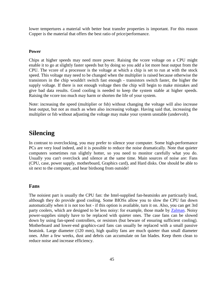lower tempertures a material with better heat transfer properties is important. For this reason Copper is the material that offers the best ratio of price/performance.

### **Power**

Chips at higher speeds may need more power. Raising the vcore voltage on a CPU might enable it to go at slightly faster speeds but by doing so you add a lot more heat output from the CPU. The vcore of a processor is the voltage at which a chip is set to run at with the stock speed. This voltage may need to be changed when the multiplier is raised because otherwise the transistors in the chip wouldn't switch fast enough - transistors switch faster, the higher the supply voltage. If there is not enough voltage then the chip will begin to make mistakes and give bad data results. Good cooling is needed to keep the system stable at higher speeds. Raising the vcore too much may harm or shorten the life of your system.

Note: increasing the speed (multiplier or fsb) without changing the voltage will also increase heat output, but not as much as when also increasing voltage. Having said that, increasing the multiplier or fsb without adjusting the voltage may make your system unstable (undervolt).

### **Silencing**

In contrast to overclocking, you may prefer to silence your computer. Some high-performance PCs are very loud indeed, and it is possible to reduce the noise dramatically. Note that quieter computers sometimes run slightly hotter, so you need to monitor carefully what you do. Usually you can't overclock and silence at the same time. Main sources of noise are: Fans (CPU, case, power supply, motherboard, Graphics card), and Hard disks. One should be able to sit next to the computer, and hear birdsong from outside!

### **Fans**

The noisiest part is usually the CPU fan: the Intel-supplied fan-heatsinks are particuarly loud, although they do provide good cooling. Some BIOSs allow you to slow the CPU fan down automatically when it is not too hot - if this option is available, turn it on. Also, you can get 3rd party coolers, which are designed to be less noisy: for example, those made by Zalman. Noisy power-supplies simply have to be replaced with quieter ones. The case fans can be slowed down by using fan-speed controllers, or resistors (but beware of ensuring sufficient cooling). Motherboard and lower-end graphics-card fans can usually be replaced with a small passive heatsink. Large diameter (120 mm), high quality fans are much quieter than small diameter ones. After a few weeks, dust and debris can accumulate on fan blades. Keep them clean to reduce noise and increase efficiency.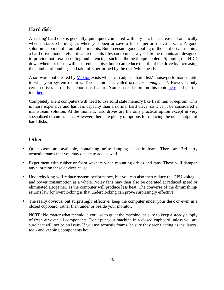### **Hard disk**

A 'resting' hard disk is generally quite quiet compared with any fan, but increases dramatically when it starts 'churning', as when you open or save a file or perform a virus scan. A good solution is to mount it on rubber mounts. But do ensure good cooling of the hard drive: running a hard drive moderately hot can reduce its lifespan to under a year! Some mounts are designed to provide both extra cooling and silencing, such as the heat-pipe coolers. Spinning the HDD down when not in use will also reduce noise, but it can reduce the life of the drive by increasing the number of landings and take-offs performed by the read/white heads.

A software tool created by Maxtor exists which can adjust a hard disk's noise/performance ratio to what your system requires. The technique is called *acoustic management*. However, only certain drives currently support this feature. You can read more on this topic here and get the tool here.

Completely silent computers will need to use solid state memory like flash ram or eeprom. This is more expensive and has less capacity than a normal hard drive, so it can't be considered a mainstream solution. At the moment, hard drives are the only practical option except in very specialised circumstances. However, there are plenty of options for reducing the noise output of hard disks.

### **Other**

- Quiet cases are available, containing noise-damping acoustic foam. There are 3rd-party acoustic foams that you may decide to add as well.
- Experiment with rubber or foam washers when mounting drives and fans. These will dampen any vibration these devices cause.
- Underclocking will reduce system performance, but you can also then reduce the CPU voltage, and power consumption as a whole. Noisy fans may then also be operated at reduced speed or eliminated altogether, as the computer will produce less heat. The converse of the diminishingreturns law for overclocking is that underclocking can prove surprisingly effective.
- The really obvious, but surprisingly effective: keep the computer under your desk or even in a closed cupboard, rather than under or beside your monitor.

NOTE: No matter what technique you use to quiet the machine, be sure to keep a steady supply of fresh air over all components. Don't put your machine in a closed cupboard unless you are sure heat will not be an issue. If you use acoustic foams, be sure they aren't acting as insulators, too - and keeping components hot.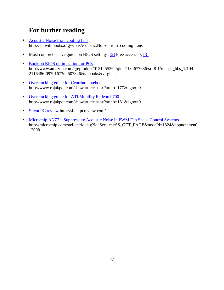### **For further reading**

- Acoustic: Noise from cooling fans http://en.wikibooks.org/wiki/Acoustic:Noise\_from\_cooling\_fans
- Most comprehensive guide on BIOS settings,  $[2]$  Free access ->,  $[3]$
- Book on BIOS optimization for PCs http://www.amazon.com/gp/product/0131455362/qid=1134677686/sr=8-1/ref=pd\_bbs\_1/104-2116486-0979167?n=507846&s=books&v=glance
- Overclocking guide for Centrino notebooks http://www.rojakpot.com/showarticle.aspx?artno=177&pgno=0
- Overclocking guide for ATI Mobility Radeon 9700 http://www.rojakpot.com/showarticle.aspx?artno=181&pgno=0
- Silent PC review http://silentpcreview.com/
- Microchip AN771: Suppressing Acoustic Noise in PWM Fan Speed Control Systems http://microchip.com/stellent/idcplg?IdcService=SS\_GET\_PAGE&nodeId=1824&appnote=en0 12008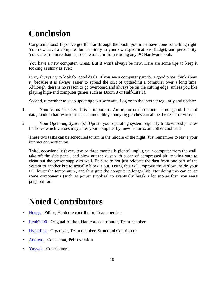# **Conclusion**

Congratulations! If you've got this far through the book, you must have done something right. You now have a computer built entirely to your own specifications, budget, and personality. You've learnt more than is possible to learn from reading any PC Hardware book.

You have a new computer. Great. But it won't always be new. Here are some tips to keep it looking as shiny as ever:

First, always try to look for good deals. If you see a computer part for a good price, think about it, because it is always easier to spread the cost of upgrading a computer over a long time. Although, there is no reason to go overboard and always be on the cutting edge (unless you like playing high-end computer games such as Doom 3 or Half-Life 2).

Second, remember to keep updating your software. Log on to the internet regularly and update:

- 1. Your Virus Checker. This is important. An unprotected computer is not good. Loss of data, random hardware crashes and incredibly annoying glitches can all be the result of viruses.
- 2. Your Operating System(s). Update your operating system regularly to download patches for holes which viruses may enter your computer by, new features, and other cool stuff.

These two tasks can be scheduled to run in the middle of the night. Just remember to leave your internet connection on.

Third, occasionally (every two or three months is plenty) unplug your computer from the wall, take off the side panel, and blow out the dust with a can of compressed air, making sure to clean out the power supply as well. Be sure to not just relocate the dust from one part of the system to another but to actually blow it out. Doing this will improve the airflow inside your PC, lower the temperature, and thus give the computer a longer life. Not doing this can cause some components (such as power supplies) to eventually break a lot sooner than you were prepared for.

# **Noted Contributors**

- Noogz Editor, Hardcore contributor, Team member
- Reub<sub>2000</sub> Original Author, Hardcore contributor, Team member
- Hyperlink Organizer, Team member, Structural Contributor
- Andreas Consultant, **Print version**
- Yayyak Contributors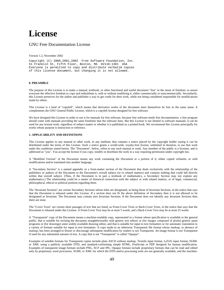## **License**

#### GNU Free Documentation License

#### Version 1.2, November 2002

Copyright (C) 2000,2001,2002 Free Software Foundation, Inc. 51 Franklin St, Fifth Floor, Boston, MA 02110-1301 USA Everyone is permitted to copy and distribute verbatim copies of this license document, but changing it is not allowed.

#### **0. PREAMBLE**

The purpose of this License is to make a manual, textbook, or other functional and useful document "free" in the sense of freedom: to assure everyone the effective freedom to copy and redistribute it, with or without modifying it, either commercially or noncommercially. Secondarily, this License preserves for the author and publisher a way to get credit for their work, while not being considered responsible for modifications made by others.

This License is a kind of "copyleft", which means that derivative works of the document must themselves be free in the same sense. It complements the GNU General Public License, which is a copyleft license designed for free software.

We have designed this License in order to use it for manuals for free software, because free software needs free documentation: a free program should come with manuals providing the same freedoms that the software does. But this License is not limited to software manuals; it can be used for any textual work, regardless of subject matter or whether it is published as a printed book. We recommend this License principally for works whose purpose is instruction or reference.

#### **1. APPLICABILITY AND DEFINITIONS**

This License applies to any manual or other work, in any medium, that contains a notice placed by the copyright holder saying it can be distributed under the terms of this License. Such a notice grants a world-wide, royalty-free license, unlimited in duration, to use that work under the conditions stated herein. The "Document", below, refers to any such manual or work. Any member of the public is a licensee, and is addressed as "you". You accept the license if you copy, modify or distribute the work in a way requiring permission under copyright law.

A "Modified Version" of the Document means any work containing the Document or a portion of it, either copied verbatim, or with modifications and/or translated into another language.

A "Secondary Section" is a named appendix or a front-matter section of the Document that deals exclusively with the relationship of the publishers or authors of the Document to the Document's overall subject (or to related matters) and contains nothing that could fall directly within that overall subject. (Thus, if the Document is in part a textbook of mathematics, a Secondary Section may not explain any mathematics.) The relationship could be a matter of historical connection with the subject or with related matters, or of legal, commercial, philosophical, ethical or political position regarding them.

The "Invariant Sections" are certain Secondary Sections whose titles are designated, as being those of Invariant Sections, in the notice that says that the Document is released under this License. If a section does not fit the above definition of Secondary then it is not allowed to be designated as Invariant. The Document may contain zero Invariant Sections. If the Document does not identify any Invariant Sections then there are none.

The "Cover Texts" are certain short passages of text that are listed, as Front-Cover Texts or Back-Cover Texts, in the notice that says that the Document is released under this License. A Front-Cover Text may be at most 5 words, and a Back-Cover Text may be at most 25 words.

A "Transparent" copy of the Document means a machine-readable copy, represented in a format whose specification is available to the general public, that is suitable for revising the document straightforwardly with generic text editors or (for images composed of pixels) generic paint programs or (for drawings) some widely available drawing editor, and that is suitable for input to text formatters or for automatic translation to a variety of formats suitable for input to text formatters. A copy made in an otherwise Transparent file format whose markup, or absence of markup, has been arranged to thwart or discourage subsequent modification by readers is not Transparent. An image format is not Transparent if used for any substantial amount of text. A copy that is not "Transparent" is called "Opaque".

Examples of suitable formats for Transparent copies include plain ASCII without markup, Texinfo input format, LaTeX input format, SGML or XML using a publicly available DTD, and standard-conforming simple HTML, PostScript or PDF designed for human modification. Examples of transparent image formats include PNG, XCF and JPG. Opaque formats include proprietary formats that can be read and edited only by proprietary word processors, SGML or XML for which the DTD and/or processing tools are not generally available, and the machine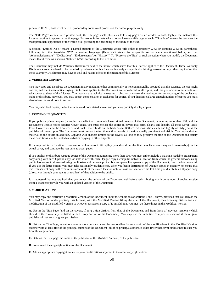generated HTML, PostScript or PDF produced by some word processors for output purposes only.

The "Title Page" means, for a printed book, the title page itself, plus such following pages as are needed to hold, legibly, the material this License requires to appear in the title page. For works in formats which do not have any title page as such, "Title Page" means the text near the most prominent appearance of the work's title, preceding the beginning of the body of the text.

A section "Entitled XYZ" means a named subunit of the Document whose title either is precisely XYZ or contains XYZ in parentheses following text that translates XYZ in another language. (Here XYZ stands for a specific section name mentioned below, such as "Acknowledgements", "Dedications", "Endorsements", or "History".) To "Preserve the Title" of such a section when you modify the Document means that it remains a section "Entitled XYZ" according to this definition.

The Document may include Warranty Disclaimers next to the notice which states that this License applies to the Document. These Warranty Disclaimers are considered to be included by reference in this License, but only as regards disclaiming warranties: any other implication that these Warranty Disclaimers may have is void and has no effect on the meaning of this License.

#### **2. VERBATIM COPYING**

You may copy and distribute the Document in any medium, either commercially or noncommercially, provided that this License, the copyright notices, and the license notice saying this License applies to the Document are reproduced in all copies, and that you add no other conditions whatsoever to those of this License. You may not use technical measures to obstruct or control the reading or further copying of the copies you make or distribute. However, you may accept compensation in exchange for copies. If you distribute a large enough number of copies you must also follow the conditions in section 3.

You may also lend copies, under the same conditions stated above, and you may publicly display copies.

#### **3. COPYING IN QUANTITY**

If you publish printed copies (or copies in media that commonly have printed covers) of the Document, numbering more than 100, and the Document's license notice requires Cover Texts, you must enclose the copies in covers that carry, clearly and legibly, all these Cover Texts: Front-Cover Texts on the front cover, and Back-Cover Texts on the back cover. Both covers must also clearly and legibly identify you as the publisher of these copies. The front cover must present the full title with all words of the title equally prominent and visible. You may add other material on the covers in addition. Copying with changes limited to the covers, as long as they preserve the title of the Document and satisfy these conditions, can be treated as verbatim copying in other respects.

If the required texts for either cover are too voluminous to fit legibly, you should put the first ones listed (as many as fit reasonably) on the actual cover, and continue the rest onto adjacent pages.

If you publish or distribute Opaque copies of the Document numbering more than 100, you must either include a machine-readable Transparent copy along with each Opaque copy, or state in or with each Opaque copy a computer-network location from which the general network-using public has access to download using public-standard network protocols a complete Transparent copy of the Document, free of added material. If you use the latter option, you must take reasonably prudent steps, when you begin distribution of Opaque copies in quantity, to ensure that this Transparent copy will remain thus accessible at the stated location until at least one year after the last time you distribute an Opaque copy (directly or through your agents or retailers) of that edition to the public.

It is requested, but not required, that you contact the authors of the Document well before redistributing any large number of copies, to give them a chance to provide you with an updated version of the Document.

#### **4. MODIFICATIONS**

You may copy and distribute a Modified Version of the Document under the conditions of sections 2 and 3 above, provided that you release the Modified Version under precisely this License, with the Modified Version filling the role of the Document, thus licensing distribution and modification of the Modified Version to whoever possesses a copy of it. In addition, you must do these things in the Modified Version:

**A.** Use in the Title Page (and on the covers, if any) a title distinct from that of the Document, and from those of previous versions (which should, if there were any, be listed in the History section of the Document). You may use the same title as a previous version if the original publisher of that version gives permission.

**B.** List on the Title Page, as authors, one or more persons or entities responsible for authorship of the modifications in the Modified Version, together with at least five of the principal authors of the Document (all of its principal authors, if it has fewer than five), unless they release you from this requirement.

**C.** State on the Title page the name of the publisher of the Modified Version, as the publisher.

**D.** Preserve all the copyright notices of the Document.

**E.** Add an appropriate copyright notice for your modifications adjacent to the other copyright notices.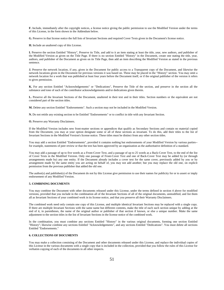**F.** Include, immediately after the copyright notices, a license notice giving the public permission to use the Modified Version under the terms of this License, in the form shown in the Addendum below.

**G.** Preserve in that license notice the full lists of Invariant Sections and required Cover Texts given in the Document's license notice.

**H.** Include an unaltered copy of this License.

**I.** Preserve the section Entitled "History", Preserve its Title, and add to it an item stating at least the title, year, new authors, and publisher of the Modified Version as given on the Title Page. If there is no section Entitled "History" in the Document, create one stating the title, year, authors, and publisher of the Document as given on its Title Page, then add an item describing the Modified Version as stated in the previous sentence.

**J.** Preserve the network location, if any, given in the Document for public access to a Transparent copy of the Document, and likewise the network locations given in the Document for previous versions it was based on. These may be placed in the "History" section. You may omit a network location for a work that was published at least four years before the Document itself, or if the original publisher of the version it refers to gives permission.

**K.** For any section Entitled "Acknowledgements" or "Dedications", Preserve the Title of the section, and preserve in the section all the substance and tone of each of the contributor acknowledgements and/or dedications given therein.

**L.** Preserve all the Invariant Sections of the Document, unaltered in their text and in their titles. Section numbers or the equivalent are not considered part of the section titles.

**M.** Delete any section Entitled "Endorsements". Such a section may not be included in the Modified Version.

**N.** Do not retitle any existing section to be Entitled "Endorsements" or to conflict in title with any Invariant Section.

**O.** Preserve any Warranty Disclaimers.

If the Modified Version includes new front-matter sections or appendices that qualify as Secondary Sections and contain no material copied from the Document, you may at your option designate some or all of these sections as invariant. To do this, add their titles to the list of Invariant Sections in the Modified Version's license notice. These titles must be distinct from any other section titles.

You may add a section Entitled "Endorsements", provided it contains nothing but endorsements of your Modified Version by various parties- for example, statements of peer review or that the text has been approved by an organization as the authoritative definition of a standard.

You may add a passage of up to five words as a Front-Cover Text, and a passage of up to 25 words as a Back-Cover Text, to the end of the list of Cover Texts in the Modified Version. Only one passage of Front-Cover Text and one of Back-Cover Text may be added by (or through arrangements made by) any one entity. If the Document already includes a cover text for the same cover, previously added by you or by arrangement made by the same entity you are acting on behalf of, you may not add another; but you may replace the old one, on explicit permission from the previous publisher that added the old one.

The author(s) and publisher(s) of the Document do not by this License give permission to use their names for publicity for or to assert or imply endorsement of any Modified Version.

#### **5. COMBINING DOCUMENTS**

You may combine the Document with other documents released under this License, under the terms defined in section 4 above for modified versions, provided that you include in the combination all of the Invariant Sections of all of the original documents, unmodified, and list them all as Invariant Sections of your combined work in its license notice, and that you preserve all their Warranty Disclaimers.

The combined work need only contain one copy of this License, and multiple identical Invariant Sections may be replaced with a single copy. If there are multiple Invariant Sections with the same name but different contents, make the title of each such section unique by adding at the end of it, in parentheses, the name of the original author or publisher of that section if known, or else a unique number. Make the same adjustment to the section titles in the list of Invariant Sections in the license notice of the combined work.

In the combination, you must combine any sections Entitled "History" in the various original documents, forming one section Entitled "History"; likewise combine any sections Entitled "Acknowledgements", and any sections Entitled "Dedications". You must delete all sections Entitled "Endorsements."

#### **6. COLLECTIONS OF DOCUMENTS**

You may make a collection consisting of the Document and other documents released under this License, and replace the individual copies of this License in the various documents with a single copy that is included in the collection, provided that you follow the rules of this License for verbatim copying of each of the documents in all other respects.